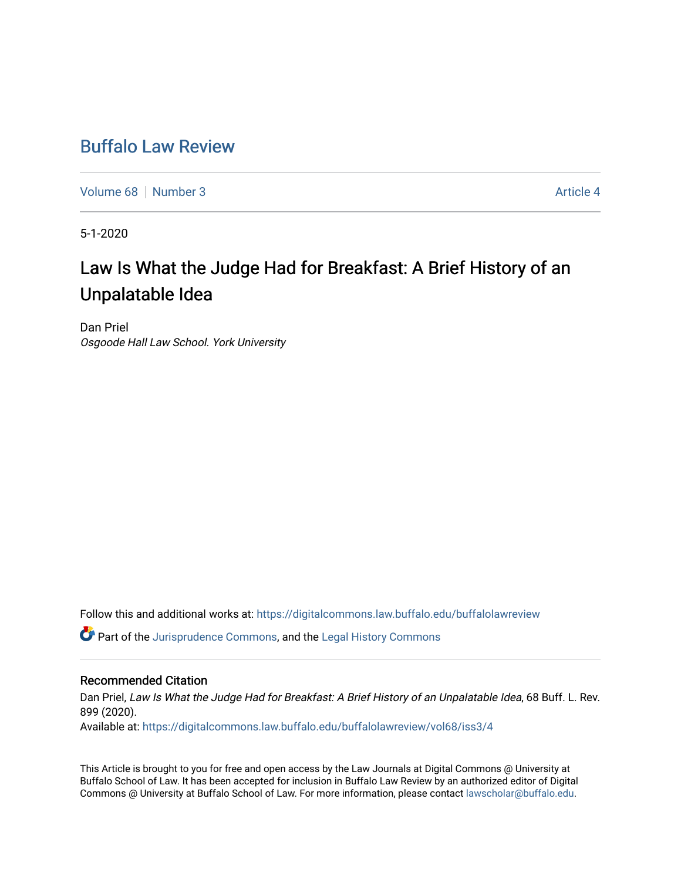## [Buffalo Law Review](https://digitalcommons.law.buffalo.edu/buffalolawreview)

[Volume 68](https://digitalcommons.law.buffalo.edu/buffalolawreview/vol68) [Number 3](https://digitalcommons.law.buffalo.edu/buffalolawreview/vol68/iss3) Article 4

5-1-2020

# Law Is What the Judge Had for Breakfast: A Brief History of an Unpalatable Idea

Dan Priel Osgoode Hall Law School. York University

Follow this and additional works at: [https://digitalcommons.law.buffalo.edu/buffalolawreview](https://digitalcommons.law.buffalo.edu/buffalolawreview?utm_source=digitalcommons.law.buffalo.edu%2Fbuffalolawreview%2Fvol68%2Fiss3%2F4&utm_medium=PDF&utm_campaign=PDFCoverPages) 

**C** Part of the [Jurisprudence Commons](http://network.bepress.com/hgg/discipline/610?utm_source=digitalcommons.law.buffalo.edu%2Fbuffalolawreview%2Fvol68%2Fiss3%2F4&utm_medium=PDF&utm_campaign=PDFCoverPages), and the [Legal History Commons](http://network.bepress.com/hgg/discipline/904?utm_source=digitalcommons.law.buffalo.edu%2Fbuffalolawreview%2Fvol68%2Fiss3%2F4&utm_medium=PDF&utm_campaign=PDFCoverPages)

#### Recommended Citation

Dan Priel, Law Is What the Judge Had for Breakfast: A Brief History of an Unpalatable Idea, 68 Buff. L. Rev. 899 (2020).

Available at: [https://digitalcommons.law.buffalo.edu/buffalolawreview/vol68/iss3/4](https://digitalcommons.law.buffalo.edu/buffalolawreview/vol68/iss3/4?utm_source=digitalcommons.law.buffalo.edu%2Fbuffalolawreview%2Fvol68%2Fiss3%2F4&utm_medium=PDF&utm_campaign=PDFCoverPages) 

This Article is brought to you for free and open access by the Law Journals at Digital Commons @ University at Buffalo School of Law. It has been accepted for inclusion in Buffalo Law Review by an authorized editor of Digital Commons @ University at Buffalo School of Law. For more information, please contact [lawscholar@buffalo.edu](mailto:lawscholar@buffalo.edu).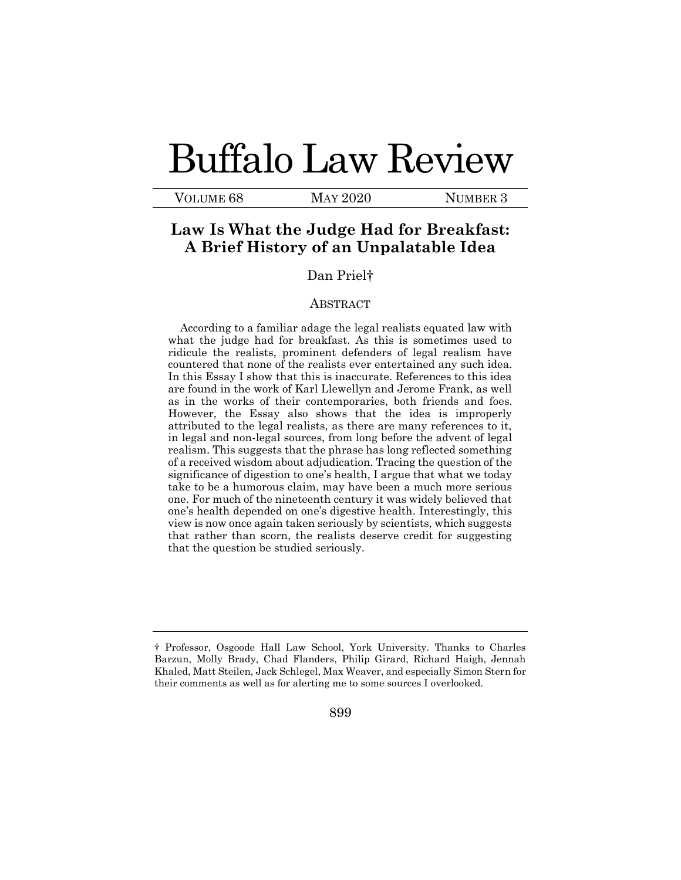# Buffalo Law Review

VOLUME 68 MAY 2020 NUMBER 3

## **Law Is What the Judge Had for Breakfast: A Brief History of an Unpalatable Idea**

#### Dan Priel†

#### ABSTRACT

According to a familiar adage the legal realists equated law with what the judge had for breakfast. As this is sometimes used to ridicule the realists, prominent defenders of legal realism have countered that none of the realists ever entertained any such idea. In this Essay I show that this is inaccurate. References to this idea are found in the work of Karl Llewellyn and Jerome Frank, as well as in the works of their contemporaries, both friends and foes. However, the Essay also shows that the idea is improperly attributed to the legal realists, as there are many references to it, in legal and non-legal sources, from long before the advent of legal realism. This suggests that the phrase has long reflected something of a received wisdom about adjudication. Tracing the question of the significance of digestion to one's health, I argue that what we today take to be a humorous claim, may have been a much more serious one. For much of the nineteenth century it was widely believed that one's health depended on one's digestive health. Interestingly, this view is now once again taken seriously by scientists, which suggests that rather than scorn, the realists deserve credit for suggesting that the question be studied seriously.

<sup>†</sup> Professor, Osgoode Hall Law School, York University. Thanks to Charles Barzun, Molly Brady, Chad Flanders, Philip Girard, Richard Haigh, Jennah Khaled, Matt Steilen, Jack Schlegel, Max Weaver, and especially Simon Stern for their comments as well as for alerting me to some sources I overlooked.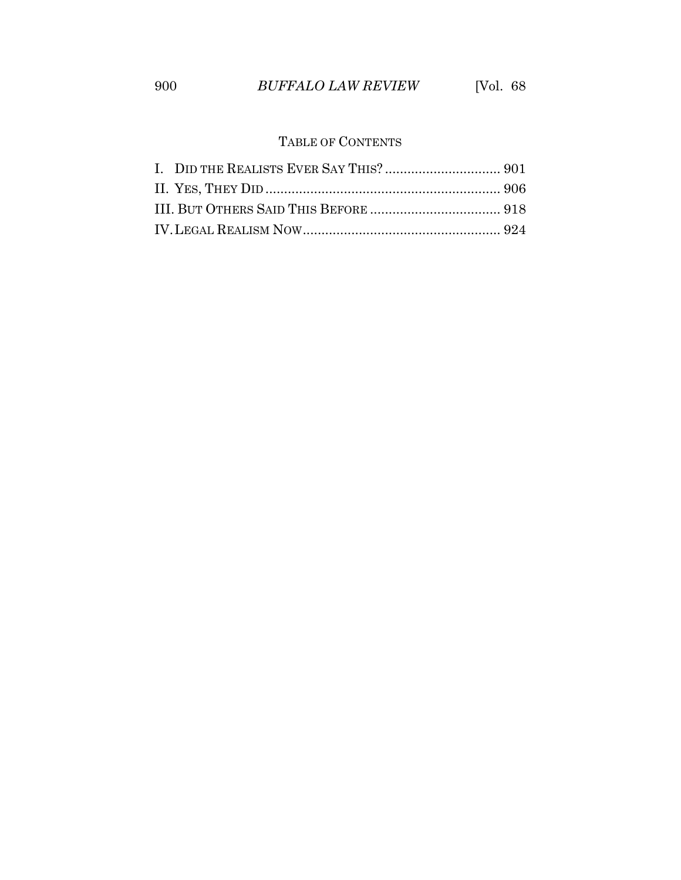### TABLE OF CONTENTS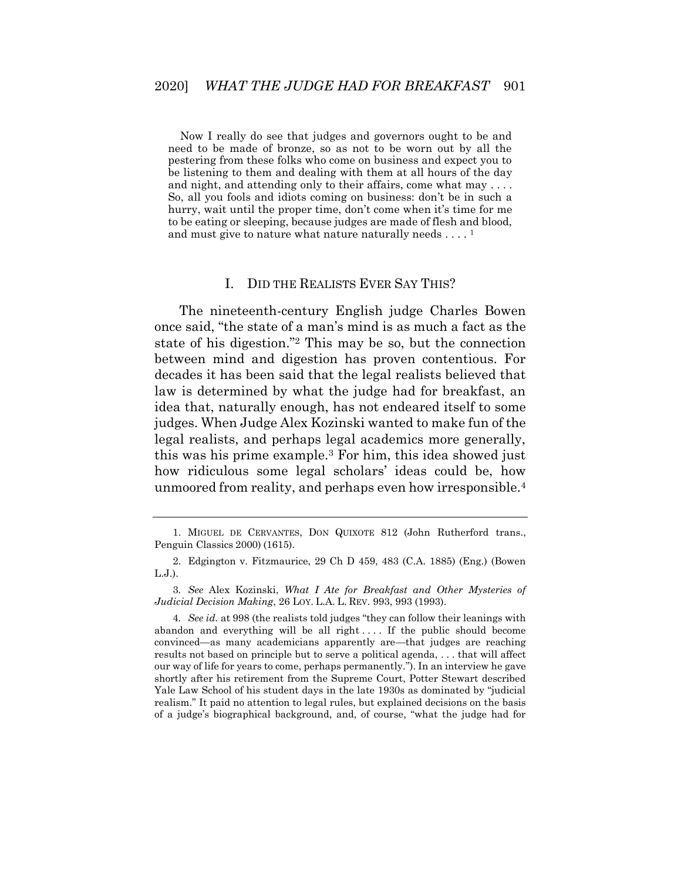Now I really do see that judges and governors ought to be and need to be made of bronze, so as not to be worn out by all the pestering from these folks who come on business and expect you to be listening to them and dealing with them at all hours of the day and night, and attending only to their affairs, come what may . . . . So, all you fools and idiots coming on business: don't be in such a hurry, wait until the proper time, don't come when it's time for me to be eating or sleeping, because judges are made of flesh and blood, and must give to nature what nature naturally needs  $\dots$  .  $^1$ 

#### I. DID THE REALISTS EVER SAY THIS?

<span id="page-3-0"></span>The nineteenth-century English judge Charles Bowen once said, "the state of a man's mind is as much a fact as the state of his digestion."<sup>2</sup> This may be so, but the connection between mind and digestion has proven contentious. For decades it has been said that the legal realists believed that law is determined by what the judge had for breakfast, an idea that, naturally enough, has not endeared itself to some judges. When Judge Alex Kozinski wanted to make fun of the legal realists, and perhaps legal academics more generally, this was his prime example.<sup>3</sup> For him, this idea showed just how ridiculous some legal scholars' ideas could be, how unmoored from reality, and perhaps even how irresponsible.<sup>4</sup>

<span id="page-3-1"></span><sup>1.</sup> MIGUEL DE CERVANTES, DON QUIXOTE 812 (John Rutherford trans., Penguin Classics 2000) (1615).

<sup>2.</sup> Edgington v. Fitzmaurice, 29 Ch D 459, 483 (C.A. 1885) (Eng.) (Bowen L.J.).

<sup>3</sup>*. See* Alex Kozinski, *What I Ate for Breakfast and Other Mysteries of Judicial Decision Making*, 26 LOY. L.A. L. REV. 993, 993 (1993).

<sup>4</sup>*. See id.* at 998 (the realists told judges "they can follow their leanings with abandon and everything will be all right .... If the public should become convinced—as many academicians apparently are—that judges are reaching results not based on principle but to serve a political agenda, . . . that will affect our way of life for years to come, perhaps permanently."). In an interview he gave shortly after his retirement from the Supreme Court, Potter Stewart described Yale Law School of his student days in the late 1930s as dominated by "judicial realism." It paid no attention to legal rules, but explained decisions on the basis of a judge's biographical background, and, of course, "what the judge had for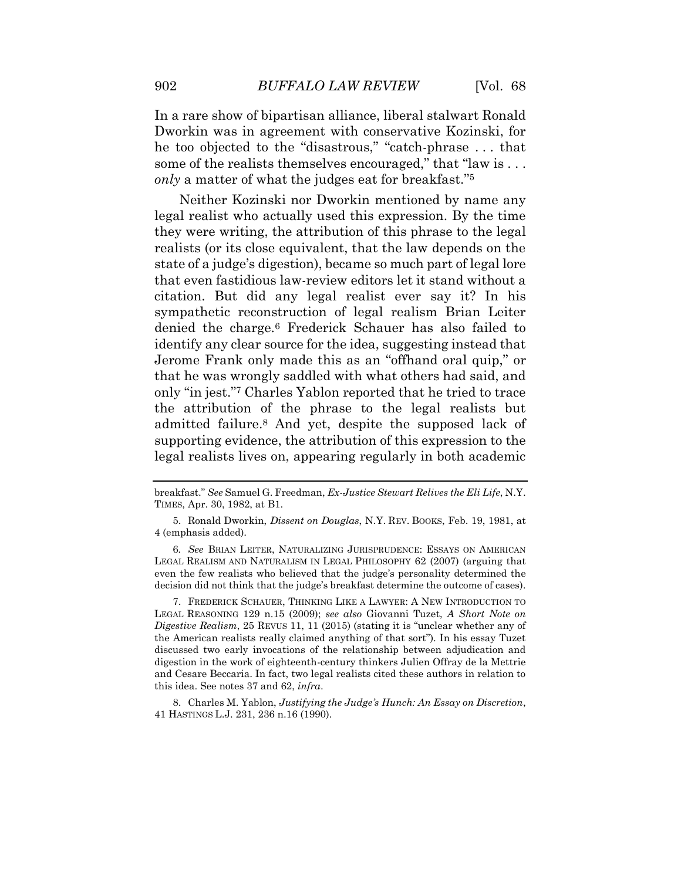In a rare show of bipartisan alliance, liberal stalwart Ronald Dworkin was in agreement with conservative Kozinski, for he too objected to the "disastrous," "catch-phrase . . . that some of the realists themselves encouraged," that "law is ... *only* a matter of what the judges eat for breakfast." 5

<span id="page-4-0"></span>Neither Kozinski nor Dworkin mentioned by name any legal realist who actually used this expression. By the time they were writing, the attribution of this phrase to the legal realists (or its close equivalent, that the law depends on the state of a judge's digestion), became so much part of legal lore that even fastidious law-review editors let it stand without a citation. But did any legal realist ever say it? In his sympathetic reconstruction of legal realism Brian Leiter denied the charge.<sup>6</sup> Frederick Schauer has also failed to identify any clear source for the idea, suggesting instead that Jerome Frank only made this as an "offhand oral quip," or that he was wrongly saddled with what others had said, and only "in jest." <sup>7</sup> Charles Yablon reported that he tried to trace the attribution of the phrase to the legal realists but admitted failure.<sup>8</sup> And yet, despite the supposed lack of supporting evidence, the attribution of this expression to the legal realists lives on, appearing regularly in both academic

8. Charles M. Yablon, *Justifying the Judge's Hunch: An Essay on Discretion*, 41 HASTINGS L.J. 231, 236 n.16 (1990).

breakfast." *See* Samuel G. Freedman, *Ex-Justice Stewart Relives the Eli Life*, N.Y. TIMES, Apr. 30, 1982, at B1.

<sup>5.</sup> Ronald Dworkin, *Dissent on Douglas*, N.Y. REV. BOOKS, Feb. 19, 1981, at 4 (emphasis added).

<sup>6</sup>*. See* BRIAN LEITER, NATURALIZING JURISPRUDENCE: ESSAYS ON AMERICAN LEGAL REALISM AND NATURALISM IN LEGAL PHILOSOPHY 62 (2007) (arguing that even the few realists who believed that the judge's personality determined the decision did not think that the judge's breakfast determine the outcome of cases).

<sup>7.</sup> FREDERICK SCHAUER, THINKING LIKE A LAWYER: A NEW INTRODUCTION TO LEGAL REASONING 129 n.15 (2009); *see also* Giovanni Tuzet, *A Short Note on Digestive Realism*, 25 REVUS 11, 11 (2015) (stating it is "unclear whether any of the American realists really claimed anything of that sort"). In his essay Tuzet discussed two early invocations of the relationship between adjudication and digestion in the work of eighteenth-century thinkers Julien Offray de la Mettrie and Cesare Beccaria. In fact, two legal realists cited these authors in relation to this idea. See notes [37](#page-12-0) and 62, *infra*.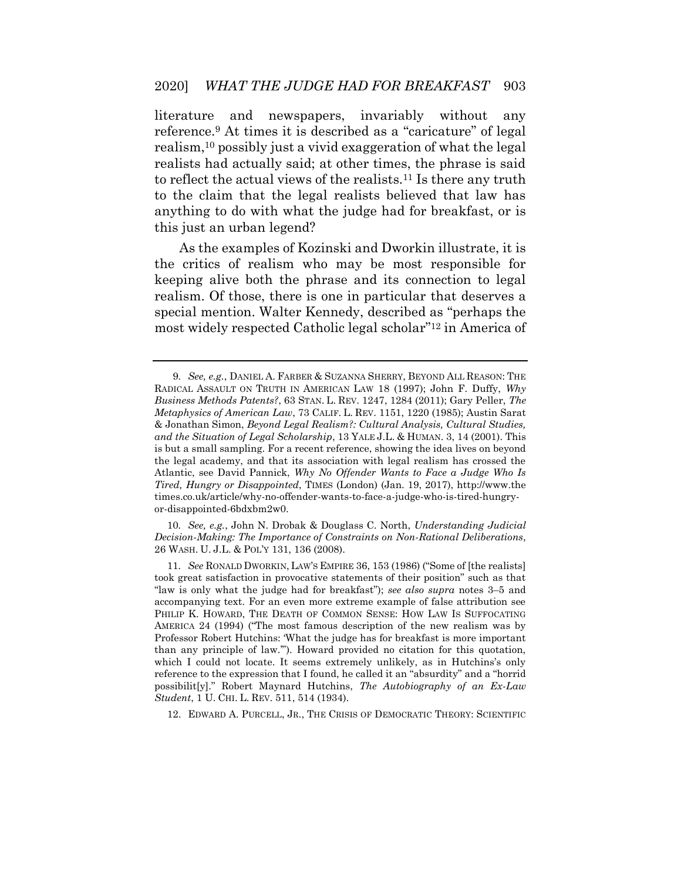literature and newspapers, invariably without any reference.<sup>9</sup> At times it is described as a "caricature" of legal realism,<sup>10</sup> possibly just a vivid exaggeration of what the legal realists had actually said; at other times, the phrase is said to reflect the actual views of the realists.<sup>11</sup> Is there any truth to the claim that the legal realists believed that law has anything to do with what the judge had for breakfast, or is this just an urban legend?

As the examples of Kozinski and Dworkin illustrate, it is the critics of realism who may be most responsible for keeping alive both the phrase and its connection to legal realism. Of those, there is one in particular that deserves a special mention. Walter Kennedy, described as "perhaps the most widely respected Catholic legal scholar" <sup>12</sup> in America of

10*. See, e.g.*, John N. Drobak & Douglass C. North, *Understanding Judicial Decision-Making: The Importance of Constraints on Non-Rational Deliberations*, 26 WASH. U. J.L. & POL'Y 131, 136 (2008).

11*. See* RONALD DWORKIN, LAW'S EMPIRE 36, 153 (1986) ("Some of [the realists] took great satisfaction in provocative statements of their position" such as that "law is only what the judge had for breakfast"); *see also supra* notes [3](#page-3-1)–[5](#page-4-0) and accompanying text. For an even more extreme example of false attribution see PHILIP K. HOWARD, THE DEATH OF COMMON SENSE: HOW LAW IS SUFFOCATING AMERICA 24 (1994) ("The most famous description of the new realism was by Professor Robert Hutchins: 'What the judge has for breakfast is more important than any principle of law.'"). Howard provided no citation for this quotation, which I could not locate. It seems extremely unlikely, as in Hutchins's only reference to the expression that I found, he called it an "absurdity" and a "horrid possibilit[y]." Robert Maynard Hutchins, *The Autobiography of an Ex-Law Student*, 1 U. CHI. L. REV. 511, 514 (1934).

12. EDWARD A. PURCELL, JR., THE CRISIS OF DEMOCRATIC THEORY: SCIENTIFIC

<sup>9</sup>*. See, e.g.*, DANIEL A. FARBER & SUZANNA SHERRY, BEYOND ALL REASON: THE RADICAL ASSAULT ON TRUTH IN AMERICAN LAW 18 (1997); John F. Duffy, *Why Business Methods Patents?*, 63 STAN. L. REV. 1247, 1284 (2011); Gary Peller, *The Metaphysics of American Law*, 73 CALIF. L. REV. 1151, 1220 (1985); Austin Sarat & Jonathan Simon, *Beyond Legal Realism?: Cultural Analysis, Cultural Studies, and the Situation of Legal Scholarship*, 13 YALE J.L. & HUMAN. 3, 14 (2001). This is but a small sampling. For a recent reference, showing the idea lives on beyond the legal academy, and that its association with legal realism has crossed the Atlantic, see David Pannick, *Why No Offender Wants to Face a Judge Who Is Tired, Hungry or Disappointed*, TIMES (London) (Jan. 19, 2017), http://www.the times.co.uk/article/why-no-offender-wants-to-face-a-judge-who-is-tired-hungryor-disappointed-6bdxbm2w0.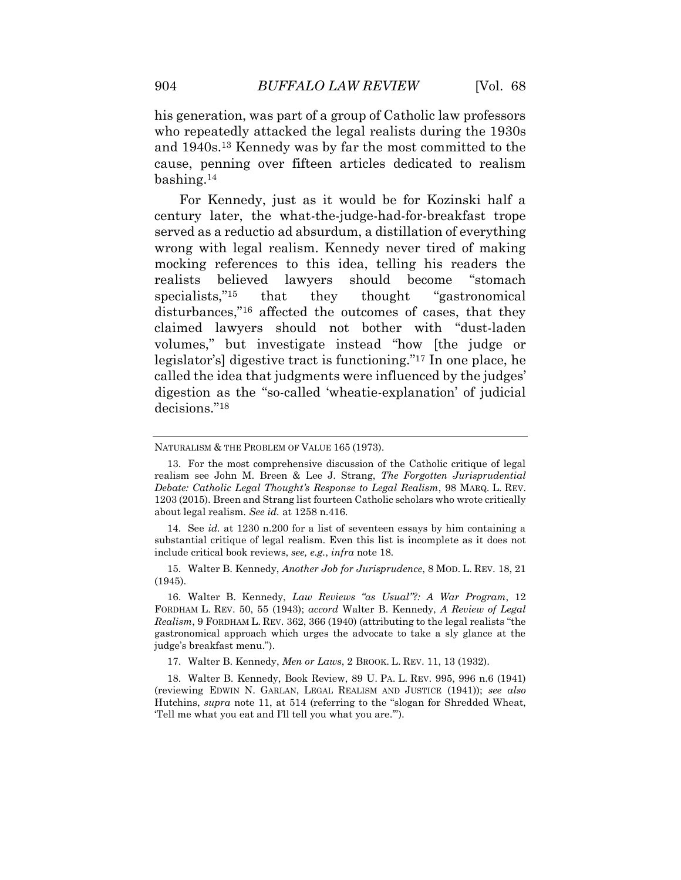his generation, was part of a group of Catholic law professors who repeatedly attacked the legal realists during the 1930s and 1940s.<sup>13</sup> Kennedy was by far the most committed to the cause, penning over fifteen articles dedicated to realism bashing.<sup>14</sup>

For Kennedy, just as it would be for Kozinski half a century later, the what-the-judge-had-for-breakfast trope served as a reductio ad absurdum, a distillation of everything wrong with legal realism. Kennedy never tired of making mocking references to this idea, telling his readers the realists believed lawyers should become "stomach specialists,"<sup>15</sup> that they thought "gastronomical disturbances," <sup>16</sup> affected the outcomes of cases, that they claimed lawyers should not bother with "dust-laden volumes," but investigate instead "how [the judge or legislator's] digestive tract is functioning." <sup>17</sup> In one place, he called the idea that judgments were influenced by the judges' digestion as the "so-called 'wheatie-explanation' of judicial decisions." 18

15. Walter B. Kennedy, *Another Job for Jurisprudence*, 8 MOD. L. REV. 18, 21 (1945).

16. Walter B. Kennedy, *Law Reviews "as Usual"?: A War Program*, 12 FORDHAM L. REV. 50, 55 (1943); *accord* Walter B. Kennedy, *A Review of Legal Realism*, 9 FORDHAM L. REV. 362, 366 (1940) (attributing to the legal realists "the gastronomical approach which urges the advocate to take a sly glance at the judge's breakfast menu.").

17. Walter B. Kennedy, *Men or Laws*, 2 BROOK. L. REV. 11, 13 (1932).

18. Walter B. Kennedy, Book Review, 89 U. PA. L. REV. 995, 996 n.6 (1941) (reviewing EDWIN N. GARLAN, LEGAL REALISM AND JUSTICE (1941)); *see also* Hutchins, *supra* note 11, at 514 (referring to the "slogan for Shredded Wheat, 'Tell me what you eat and I'll tell you what you are.'").

NATURALISM & THE PROBLEM OF VALUE 165 (1973).

<sup>13.</sup> For the most comprehensive discussion of the Catholic critique of legal realism see John M. Breen & Lee J. Strang, *The Forgotten Jurisprudential Debate: Catholic Legal Thought's Response to Legal Realism*, 98 MARQ. L. REV. 1203 (2015). Breen and Strang list fourteen Catholic scholars who wrote critically about legal realism. *See id.* at 1258 n.416.

<sup>14.</sup> See *id.* at 1230 n.200 for a list of seventeen essays by him containing a substantial critique of legal realism. Even this list is incomplete as it does not include critical book reviews, *see, e.g.*, *infra* note 18.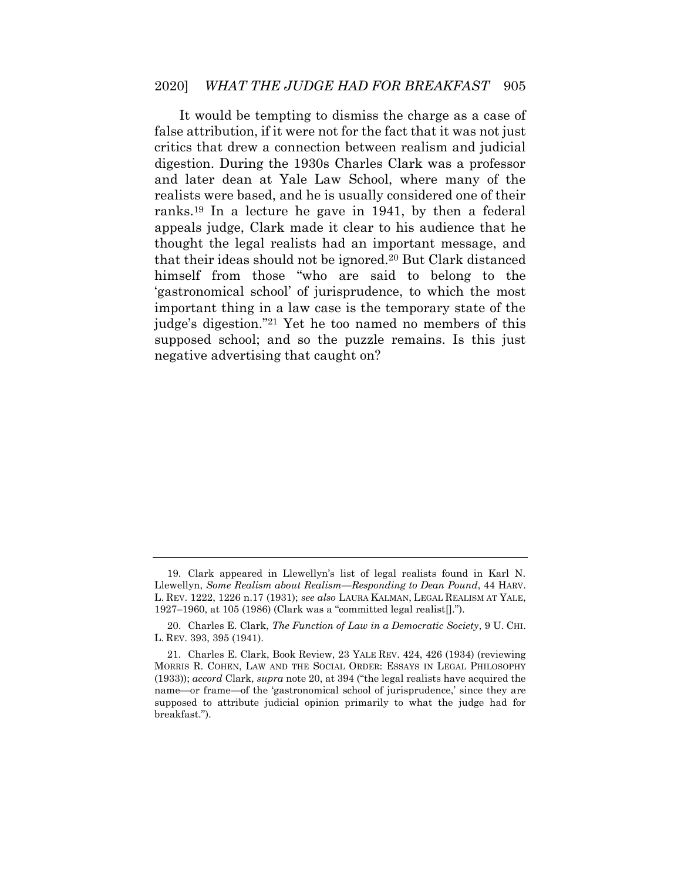It would be tempting to dismiss the charge as a case of false attribution, if it were not for the fact that it was not just critics that drew a connection between realism and judicial digestion. During the 1930s Charles Clark was a professor and later dean at Yale Law School, where many of the realists were based, and he is usually considered one of their ranks.<sup>19</sup> In a lecture he gave in 1941, by then a federal appeals judge, Clark made it clear to his audience that he thought the legal realists had an important message, and that their ideas should not be ignored.<sup>20</sup> But Clark distanced himself from those "who are said to belong to the 'gastronomical school' of jurisprudence, to which the most important thing in a law case is the temporary state of the judge's digestion." <sup>21</sup> Yet he too named no members of this supposed school; and so the puzzle remains. Is this just negative advertising that caught on?

<sup>19.</sup> Clark appeared in Llewellyn's list of legal realists found in Karl N. Llewellyn, *Some Realism about Realism—Responding to Dean Pound*, 44 HARV. L. REV. 1222, 1226 n.17 (1931); *see also* LAURA KALMAN, LEGAL REALISM AT YALE, 1927–1960, at 105 (1986) (Clark was a "committed legal realist[].").

<sup>20.</sup> Charles E. Clark, *The Function of Law in a Democratic Society*, 9 U. CHI. L. REV. 393, 395 (1941).

<sup>21.</sup> Charles E. Clark, Book Review, 23 YALE REV. 424, 426 (1934) (reviewing MORRIS R. COHEN, LAW AND THE SOCIAL ORDER: ESSAYS IN LEGAL PHILOSOPHY (1933)); *accord* Clark, *supra* note 20, at 394 ("the legal realists have acquired the name—or frame—of the 'gastronomical school of jurisprudence,' since they are supposed to attribute judicial opinion primarily to what the judge had for breakfast.").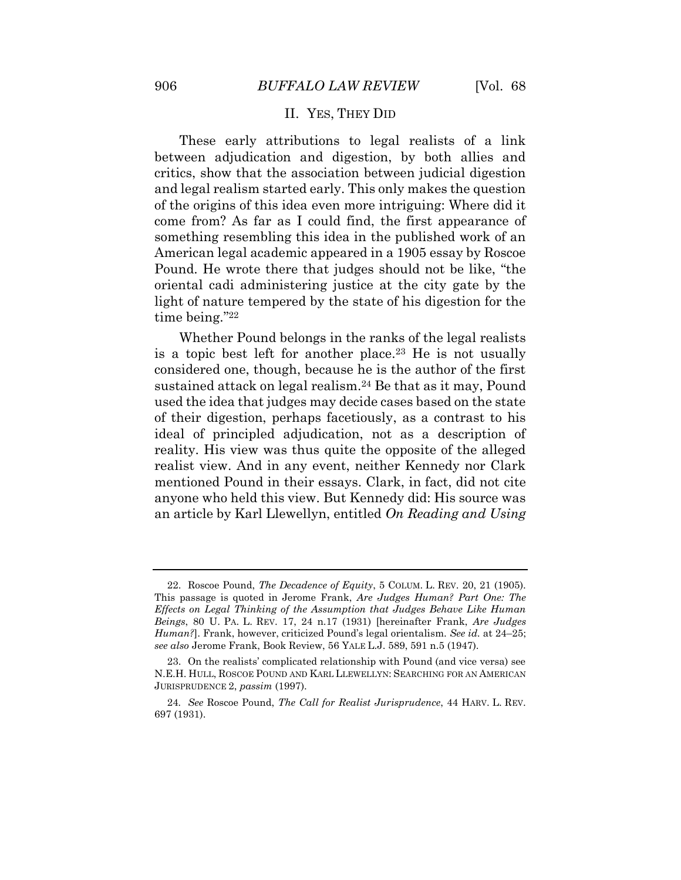#### II. YES, THEY DID

<span id="page-8-0"></span>These early attributions to legal realists of a link between adjudication and digestion, by both allies and critics, show that the association between judicial digestion and legal realism started early. This only makes the question of the origins of this idea even more intriguing: Where did it come from? As far as I could find, the first appearance of something resembling this idea in the published work of an American legal academic appeared in a 1905 essay by Roscoe Pound. He wrote there that judges should not be like, "the oriental cadi administering justice at the city gate by the light of nature tempered by the state of his digestion for the time being." 22

Whether Pound belongs in the ranks of the legal realists is a topic best left for another place.<sup>23</sup> He is not usually considered one, though, because he is the author of the first sustained attack on legal realism.<sup>24</sup> Be that as it may, Pound used the idea that judges may decide cases based on the state of their digestion, perhaps facetiously, as a contrast to his ideal of principled adjudication, not as a description of reality. His view was thus quite the opposite of the alleged realist view. And in any event, neither Kennedy nor Clark mentioned Pound in their essays. Clark, in fact, did not cite anyone who held this view. But Kennedy did: His source was an article by Karl Llewellyn, entitled *On Reading and Using* 

<sup>22.</sup> Roscoe Pound, *The Decadence of Equity*, 5 COLUM. L. REV. 20, 21 (1905). This passage is quoted in Jerome Frank, *Are Judges Human? Part One: The Effects on Legal Thinking of the Assumption that Judges Behave Like Human Beings*, 80 U. PA. L. REV. 17, 24 n.17 (1931) [hereinafter Frank, *Are Judges Human?*]. Frank, however, criticized Pound's legal orientalism. *See id.* at 24–25; *see also* Jerome Frank, Book Review, 56 YALE L.J. 589, 591 n.5 (1947).

<sup>23.</sup> On the realists' complicated relationship with Pound (and vice versa) see N.E.H. HULL, ROSCOE POUND AND KARL LLEWELLYN: SEARCHING FOR AN AMERICAN JURISPRUDENCE 2, *passim* (1997).

<sup>24</sup>*. See* Roscoe Pound, *The Call for Realist Jurisprudence*, 44 HARV. L. REV. 697 (1931).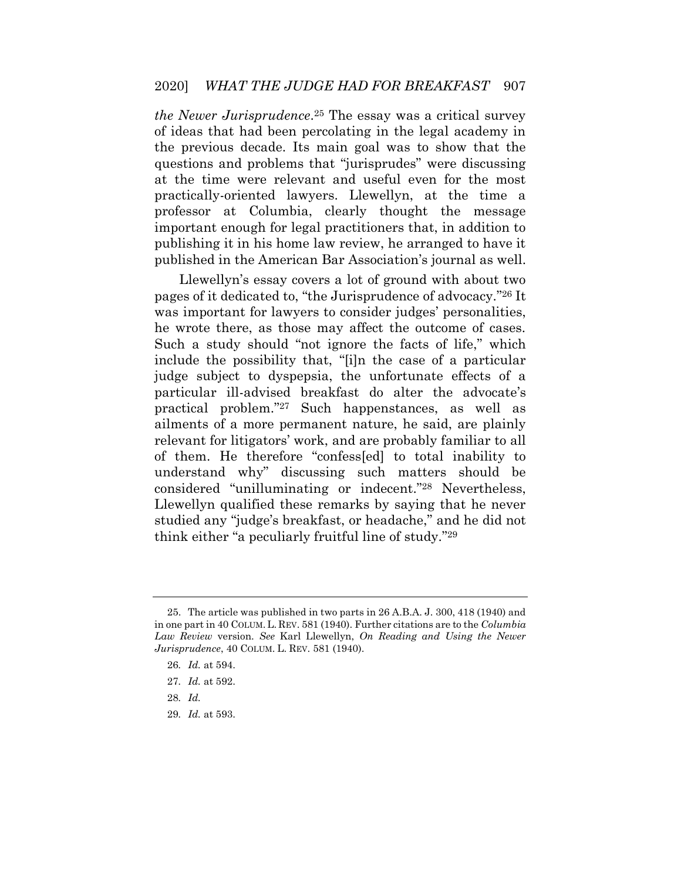*the Newer Jurisprudence*. <sup>25</sup> The essay was a critical survey of ideas that had been percolating in the legal academy in the previous decade. Its main goal was to show that the questions and problems that "jurisprudes" were discussing at the time were relevant and useful even for the most practically-oriented lawyers. Llewellyn, at the time a professor at Columbia, clearly thought the message important enough for legal practitioners that, in addition to publishing it in his home law review, he arranged to have it published in the American Bar Association's journal as well.

Llewellyn's essay covers a lot of ground with about two pages of it dedicated to, "the Jurisprudence of advocacy." <sup>26</sup> It was important for lawyers to consider judges' personalities, he wrote there, as those may affect the outcome of cases. Such a study should "not ignore the facts of life," which include the possibility that, "[i]n the case of a particular judge subject to dyspepsia, the unfortunate effects of a particular ill-advised breakfast do alter the advocate's practical problem." <sup>27</sup> Such happenstances, as well as ailments of a more permanent nature, he said, are plainly relevant for litigators' work, and are probably familiar to all of them. He therefore "confess[ed] to total inability to understand why" discussing such matters should be considered "unilluminating or indecent." <sup>28</sup> Nevertheless, Llewellyn qualified these remarks by saying that he never studied any "judge's breakfast, or headache," and he did not think either "a peculiarly fruitful line of study." 29

29*. Id.* at 593.

<sup>25.</sup> The article was published in two parts in 26 A.B.A. J. 300, 418 (1940) and in one part in 40 COLUM.L. REV. 581 (1940). Further citations are to the *Columbia Law Review* version. *See* Karl Llewellyn, *On Reading and Using the Newer Jurisprudence*, 40 COLUM. L. REV. 581 (1940).

<sup>26</sup>*. Id.* at 594.

<sup>27</sup>*. Id.* at 592.

<sup>28</sup>*. Id.*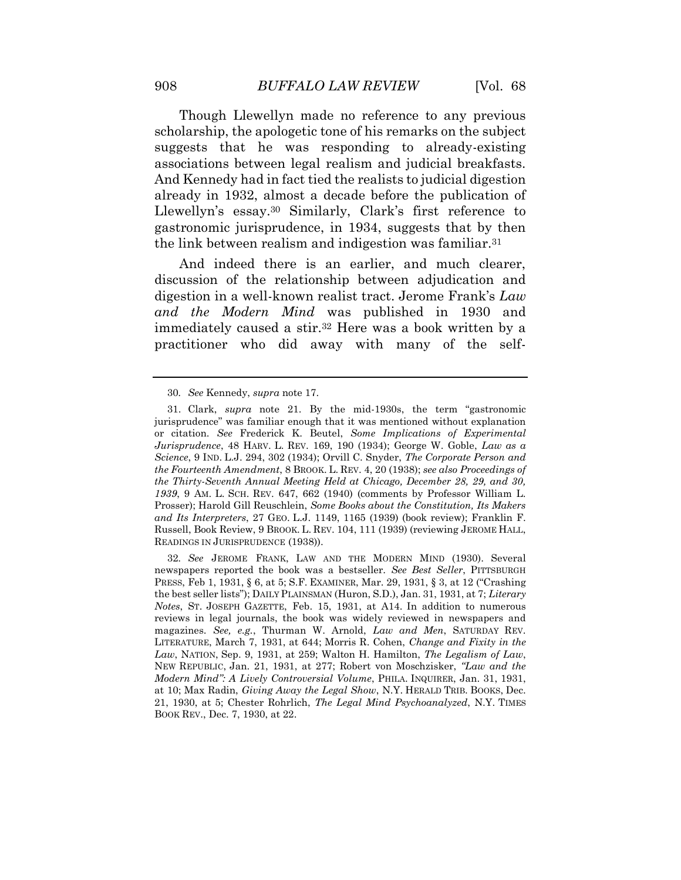Though Llewellyn made no reference to any previous scholarship, the apologetic tone of his remarks on the subject suggests that he was responding to already-existing associations between legal realism and judicial breakfasts. And Kennedy had in fact tied the realists to judicial digestion already in 1932, almost a decade before the publication of Llewellyn's essay.<sup>30</sup> Similarly, Clark's first reference to gastronomic jurisprudence, in 1934, suggests that by then the link between realism and indigestion was familiar.<sup>31</sup>

And indeed there is an earlier, and much clearer, discussion of the relationship between adjudication and digestion in a well-known realist tract. Jerome Frank's *Law and the Modern Mind* was published in 1930 and immediately caused a stir.<sup>32</sup> Here was a book written by a practitioner who did away with many of the self-

<sup>30</sup>*. See* Kennedy, *supra* note 17.

<sup>31.</sup> Clark, *supra* note 21. By the mid-1930s, the term "gastronomic jurisprudence" was familiar enough that it was mentioned without explanation or citation. *See* Frederick K. Beutel, *Some Implications of Experimental Jurisprudence*, 48 HARV. L. REV. 169, 190 (1934); George W. Goble, *Law as a Science*, 9 IND. L.J. 294, 302 (1934); Orvill C. Snyder, *The Corporate Person and the Fourteenth Amendment*, 8 BROOK. L. REV. 4, 20 (1938); *see also Proceedings of the Thirty-Seventh Annual Meeting Held at Chicago, December 28, 29, and 30, 1939*, 9 AM. L. SCH. REV. 647, 662 (1940) (comments by Professor William L. Prosser); Harold Gill Reuschlein, *Some Books about the Constitution, Its Makers and Its Interpreters*, 27 GEO. L.J. 1149, 1165 (1939) (book review); Franklin F. Russell, Book Review, 9 BROOK. L. REV. 104, 111 (1939) (reviewing JEROME HALL, READINGS IN JURISPRUDENCE (1938)).

<sup>32</sup>*. See* JEROME FRANK, LAW AND THE MODERN MIND (1930). Several newspapers reported the book was a bestseller. *See Best Seller*, PITTSBURGH PRESS, Feb 1, 1931, § 6, at 5; S.F. EXAMINER, Mar. 29, 1931, § 3, at 12 ("Crashing the best seller lists"); DAILY PLAINSMAN (Huron, S.D.), Jan. 31, 1931, at 7; *Literary Notes*, ST. JOSEPH GAZETTE, Feb. 15, 1931, at A14. In addition to numerous reviews in legal journals, the book was widely reviewed in newspapers and magazines. *See, e.g.*, Thurman W. Arnold, *Law and Men*, SATURDAY REV. LITERATURE, March 7, 1931, at 644; Morris R. Cohen, *Change and Fixity in the Law*, NATION, Sep. 9, 1931, at 259; Walton H. Hamilton, *The Legalism of Law*, NEW REPUBLIC, Jan. 21, 1931, at 277; Robert von Moschzisker, *"Law and the Modern Mind": A Lively Controversial Volume*, PHILA. INQUIRER, Jan. 31, 1931, at 10; Max Radin, *Giving Away the Legal Show*, N.Y. HERALD TRIB. BOOKS, Dec. 21, 1930, at 5; Chester Rohrlich, *The Legal Mind Psychoanalyzed*, N.Y. TIMES BOOK REV., Dec. 7, 1930, at 22.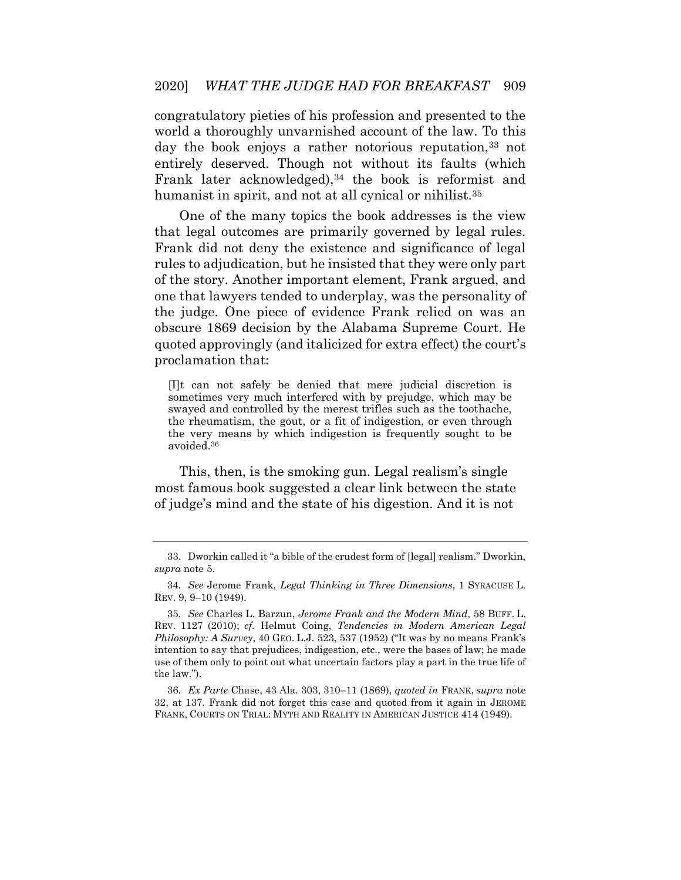congratulatory pieties of his profession and presented to the world a thoroughly unvarnished account of the law. To this day the book enjoys a rather notorious reputation,<sup>33</sup> not entirely deserved. Though not without its faults (which Frank later acknowledged),<sup>34</sup> the book is reformist and humanist in spirit, and not at all cynical or nihilist.<sup>35</sup>

One of the many topics the book addresses is the view that legal outcomes are primarily governed by legal rules. Frank did not deny the existence and significance of legal rules to adjudication, but he insisted that they were only part of the story. Another important element, Frank argued, and one that lawyers tended to underplay, was the personality of the judge. One piece of evidence Frank relied on was an obscure 1869 decision by the Alabama Supreme Court. He quoted approvingly (and italicized for extra effect) the court's proclamation that:

[I]t can not safely be denied that mere judicial discretion is sometimes very much interfered with by prejudge, which may be swayed and controlled by the merest trifles such as the toothache, the rheumatism, the gout, or a fit of indigestion, or even through the very means by which indigestion is frequently sought to be avoided.<sup>36</sup>

This, then, is the smoking gun. Legal realism's single most famous book suggested a clear link between the state of judge's mind and the state of his digestion. And it is not

36*. Ex Parte* Chase, 43 Ala. 303, 310–11 (1869), *quoted in* FRANK, *supra* note 32, at 137. Frank did not forget this case and quoted from it again in JEROME FRANK, COURTS ON TRIAL: MYTH AND REALITY IN AMERICAN JUSTICE 414 (1949).

<sup>33.</sup> Dworkin called it "a bible of the crudest form of [legal] realism." Dworkin, *supra* note 5.

<sup>34</sup>*. See* Jerome Frank, *Legal Thinking in Three Dimensions*, 1 SYRACUSE L. REV. 9, 9–10 (1949).

<sup>35</sup>*. See* Charles L. Barzun, *Jerome Frank and the Modern Mind*, 58 BUFF. L. REV. 1127 (2010); *cf.* Helmut Coing, *Tendencies in Modern American Legal Philosophy: A Survey*, 40 GEO. L.J. 523, 537 (1952) ("It was by no means Frank's intention to say that prejudices, indigestion, etc., were the bases of law; he made use of them only to point out what uncertain factors play a part in the true life of the law.").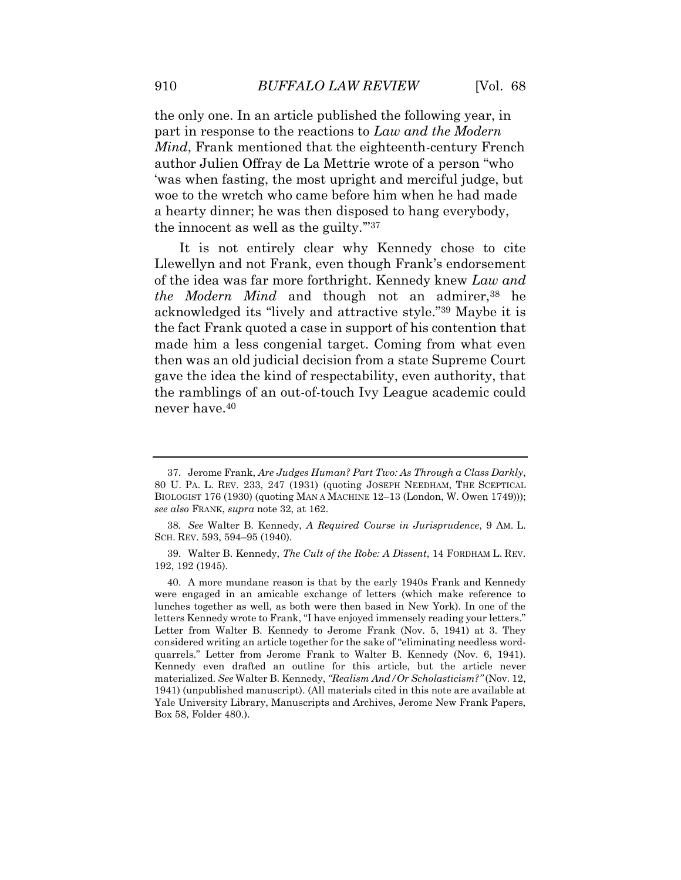the only one. In an article published the following year, in part in response to the reactions to *Law and the Modern Mind*, Frank mentioned that the eighteenth-century French author Julien Offray de La Mettrie wrote of a person "who 'was when fasting, the most upright and merciful judge, but woe to the wretch who came before him when he had made a hearty dinner; he was then disposed to hang everybody, the innocent as well as the guilty.'" 37

<span id="page-12-0"></span>It is not entirely clear why Kennedy chose to cite Llewellyn and not Frank, even though Frank's endorsement of the idea was far more forthright. Kennedy knew *Law and the Modern Mind* and though not an admirer,<sup>38</sup> he acknowledged its "lively and attractive style." <sup>39</sup> Maybe it is the fact Frank quoted a case in support of his contention that made him a less congenial target. Coming from what even then was an old judicial decision from a state Supreme Court gave the idea the kind of respectability, even authority, that the ramblings of an out-of-touch Ivy League academic could never have.<sup>40</sup>

<sup>37.</sup> Jerome Frank, *Are Judges Human? Part Two: As Through a Class Darkly*, 80 U. PA. L. REV. 233, 247 (1931) (quoting JOSEPH NEEDHAM, THE SCEPTICAL BIOLOGIST 176 (1930) (quoting MAN A MACHINE 12–13 (London, W. Owen 1749))); *see also* FRANK, *supra* note 32, at 162.

<sup>38</sup>*. See* Walter B. Kennedy, *A Required Course in Jurisprudence*, 9 AM. L. SCH. REV. 593, 594–95 (1940).

<sup>39.</sup> Walter B. Kennedy, *The Cult of the Robe: A Dissent*, 14 FORDHAM L. REV. 192, 192 (1945).

<sup>40.</sup> A more mundane reason is that by the early 1940s Frank and Kennedy were engaged in an amicable exchange of letters (which make reference to lunches together as well, as both were then based in New York). In one of the letters Kennedy wrote to Frank, "I have enjoyed immensely reading your letters." Letter from Walter B. Kennedy to Jerome Frank (Nov. 5, 1941) at 3. They considered writing an article together for the sake of "eliminating needless wordquarrels." Letter from Jerome Frank to Walter B. Kennedy (Nov. 6, 1941). Kennedy even drafted an outline for this article, but the article never materialized. *See* Walter B. Kennedy, *"Realism And/Or Scholasticism?"* (Nov. 12, 1941) (unpublished manuscript). (All materials cited in this note are available at Yale University Library, Manuscripts and Archives, Jerome New Frank Papers, Box 58, Folder 480.).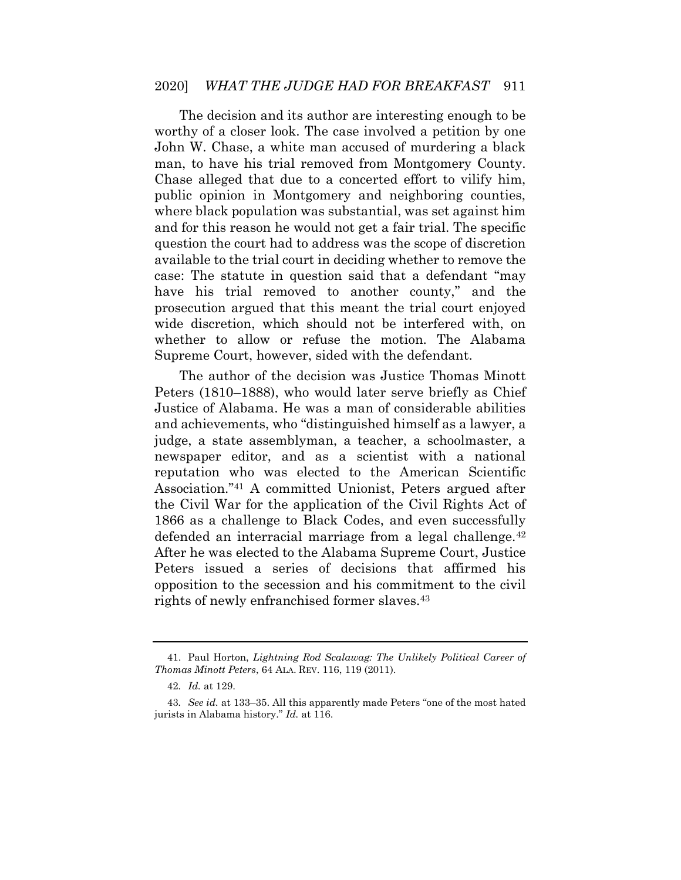The decision and its author are interesting enough to be worthy of a closer look. The case involved a petition by one John W. Chase, a white man accused of murdering a black man, to have his trial removed from Montgomery County. Chase alleged that due to a concerted effort to vilify him, public opinion in Montgomery and neighboring counties, where black population was substantial, was set against him and for this reason he would not get a fair trial. The specific question the court had to address was the scope of discretion available to the trial court in deciding whether to remove the case: The statute in question said that a defendant "may have his trial removed to another county," and the prosecution argued that this meant the trial court enjoyed wide discretion, which should not be interfered with, on whether to allow or refuse the motion. The Alabama Supreme Court, however, sided with the defendant.

The author of the decision was Justice Thomas Minott Peters (1810–1888), who would later serve briefly as Chief Justice of Alabama. He was a man of considerable abilities and achievements, who "distinguished himself as a lawyer, a judge, a state assemblyman, a teacher, a schoolmaster, a newspaper editor, and as a scientist with a national reputation who was elected to the American Scientific Association." <sup>41</sup> A committed Unionist, Peters argued after the Civil War for the application of the Civil Rights Act of 1866 as a challenge to Black Codes, and even successfully defended an interracial marriage from a legal challenge.<sup>42</sup> After he was elected to the Alabama Supreme Court, Justice Peters issued a series of decisions that affirmed his opposition to the secession and his commitment to the civil rights of newly enfranchised former slaves.<sup>43</sup>

<sup>41.</sup> Paul Horton, *Lightning Rod Scalawag: The Unlikely Political Career of Thomas Minott Peters*, 64 ALA. REV. 116, 119 (2011).

<sup>42</sup>*. Id.* at 129.

<sup>43</sup>*. See id.* at 133–35. All this apparently made Peters "one of the most hated jurists in Alabama history." *Id.* at 116.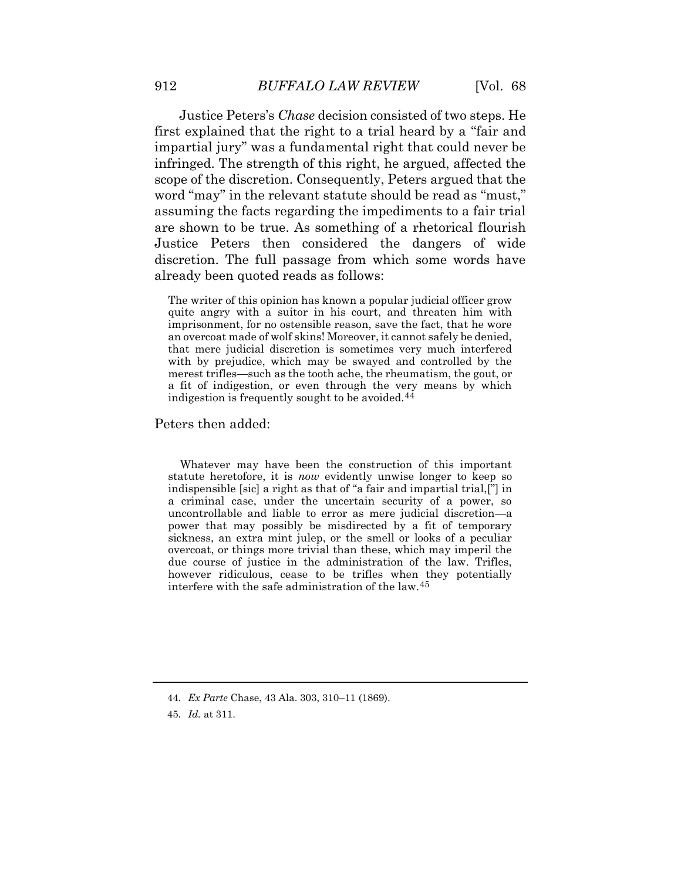Justice Peters's *Chase* decision consisted of two steps. He first explained that the right to a trial heard by a "fair and impartial jury" was a fundamental right that could never be infringed. The strength of this right, he argued, affected the scope of the discretion. Consequently, Peters argued that the word "may" in the relevant statute should be read as "must," assuming the facts regarding the impediments to a fair trial are shown to be true. As something of a rhetorical flourish Justice Peters then considered the dangers of wide discretion. The full passage from which some words have already been quoted reads as follows:

The writer of this opinion has known a popular judicial officer grow quite angry with a suitor in his court, and threaten him with imprisonment, for no ostensible reason, save the fact, that he wore an overcoat made of wolf skins! Moreover, it cannot safely be denied, that mere judicial discretion is sometimes very much interfered with by prejudice, which may be swayed and controlled by the merest trifles—such as the tooth ache, the rheumatism, the gout, or a fit of indigestion, or even through the very means by which indigestion is frequently sought to be avoided.<sup>44</sup>

#### Peters then added:

Whatever may have been the construction of this important statute heretofore, it is *now* evidently unwise longer to keep so indispensible [sic] a right as that of "a fair and impartial trial,["] in a criminal case, under the uncertain security of a power, so uncontrollable and liable to error as mere judicial discretion—a power that may possibly be misdirected by a fit of temporary sickness, an extra mint julep, or the smell or looks of a peculiar overcoat, or things more trivial than these, which may imperil the due course of justice in the administration of the law. Trifles, however ridiculous, cease to be trifles when they potentially interfere with the safe administration of the law.45

<sup>44</sup>*. Ex Parte* Chase, 43 Ala. 303, 310–11 (1869).

<sup>45</sup>*. Id.* at 311.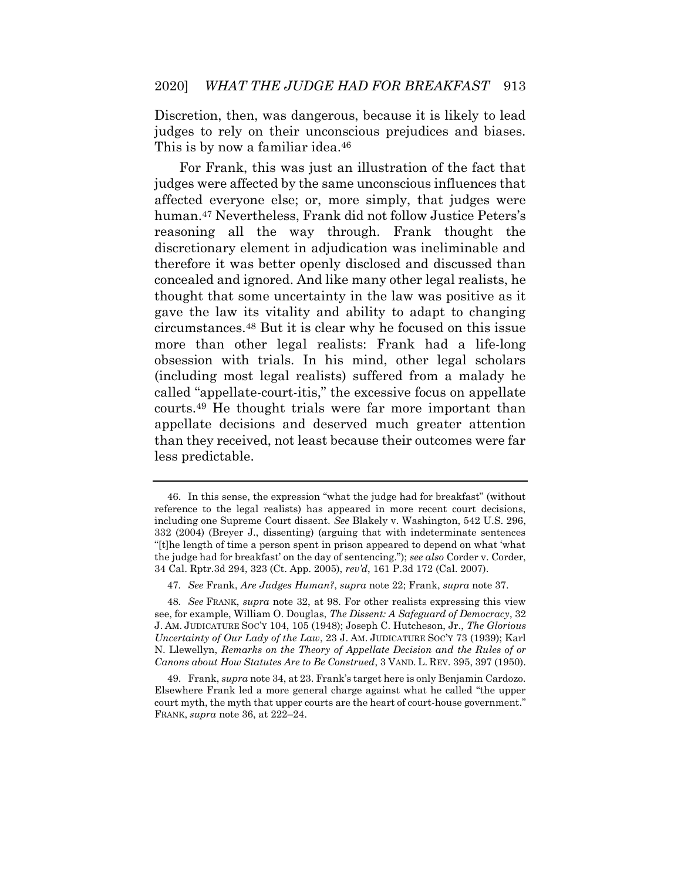Discretion, then, was dangerous, because it is likely to lead judges to rely on their unconscious prejudices and biases. This is by now a familiar idea.<sup>46</sup>

For Frank, this was just an illustration of the fact that judges were affected by the same unconscious influences that affected everyone else; or, more simply, that judges were human.<sup>47</sup> Nevertheless, Frank did not follow Justice Peters's reasoning all the way through. Frank thought the discretionary element in adjudication was ineliminable and therefore it was better openly disclosed and discussed than concealed and ignored. And like many other legal realists, he thought that some uncertainty in the law was positive as it gave the law its vitality and ability to adapt to changing circumstances.<sup>48</sup> But it is clear why he focused on this issue more than other legal realists: Frank had a life-long obsession with trials. In his mind, other legal scholars (including most legal realists) suffered from a malady he called "appellate-court-itis," the excessive focus on appellate courts.<sup>49</sup> He thought trials were far more important than appellate decisions and deserved much greater attention than they received, not least because their outcomes were far less predictable.

<sup>46.</sup> In this sense, the expression "what the judge had for breakfast" (without reference to the legal realists) has appeared in more recent court decisions, including one Supreme Court dissent. *See* Blakely v. Washington, 542 U.S. 296, 332 (2004) (Breyer J., dissenting) (arguing that with indeterminate sentences "[t]he length of time a person spent in prison appeared to depend on what 'what the judge had for breakfast' on the day of sentencing."); *see also* Corder v. Corder, 34 Cal. Rptr.3d 294, 323 (Ct. App. 2005), *rev'd*, 161 P.3d 172 (Cal. 2007).

<sup>47</sup>*. See* Frank, *Are Judges Human?*, *supra* note 22; Frank, *supra* note 37.

<sup>48</sup>*. See* FRANK, *supra* note 32, at 98. For other realists expressing this view see, for example, William O. Douglas, *The Dissent: A Safeguard of Democracy*, 32 J. AM. JUDICATURE SOC'Y 104, 105 (1948); Joseph C. Hutcheson, Jr., *The Glorious Uncertainty of Our Lady of the Law*, 23 J. AM. JUDICATURE SOC'Y 73 (1939); Karl N. Llewellyn, *Remarks on the Theory of Appellate Decision and the Rules of or Canons about How Statutes Are to Be Construed*, 3 VAND. L. REV. 395, 397 (1950).

<sup>49.</sup> Frank, *supra* note 34, at 23. Frank's target here is only Benjamin Cardozo. Elsewhere Frank led a more general charge against what he called "the upper court myth, the myth that upper courts are the heart of court-house government." FRANK, *supra* note 36, at 222–24.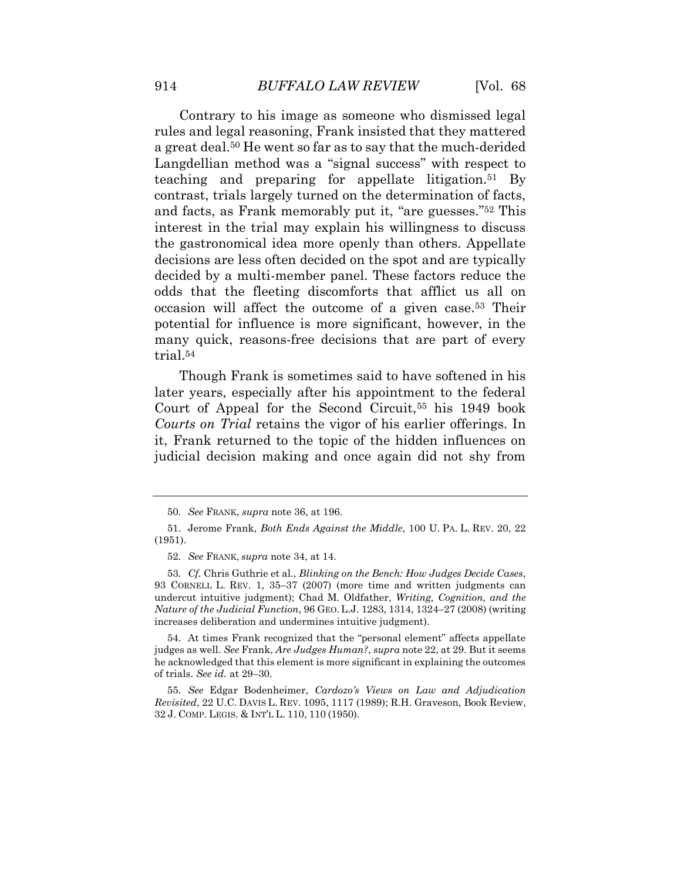Contrary to his image as someone who dismissed legal rules and legal reasoning, Frank insisted that they mattered a great deal.<sup>50</sup> He went so far as to say that the much-derided Langdellian method was a "signal success" with respect to teaching and preparing for appellate litigation.<sup>51</sup> By contrast, trials largely turned on the determination of facts, and facts, as Frank memorably put it, "are guesses." <sup>52</sup> This interest in the trial may explain his willingness to discuss the gastronomical idea more openly than others. Appellate decisions are less often decided on the spot and are typically decided by a multi-member panel. These factors reduce the odds that the fleeting discomforts that afflict us all on occasion will affect the outcome of a given case.<sup>53</sup> Their potential for influence is more significant, however, in the many quick, reasons-free decisions that are part of every trial.<sup>54</sup>

Though Frank is sometimes said to have softened in his later years, especially after his appointment to the federal Court of Appeal for the Second Circuit,<sup>55</sup> his 1949 book *Courts on Trial* retains the vigor of his earlier offerings. In it, Frank returned to the topic of the hidden influences on judicial decision making and once again did not shy from

53*. Cf.* Chris Guthrie et al., *Blinking on the Bench: How Judges Decide Cases*, 93 CORNELL L. REV. 1, 35–37 (2007) (more time and written judgments can undercut intuitive judgment); Chad M. Oldfather, *Writing, Cognition, and the Nature of the Judicial Function*, 96 GEO. L.J. 1283, 1314, 1324–27 (2008) (writing increases deliberation and undermines intuitive judgment).

54. At times Frank recognized that the "personal element" affects appellate judges as well. *See* Frank, *Are Judges Human?*, *supra* note 22, at 29. But it seems he acknowledged that this element is more significant in explaining the outcomes of trials. *See id.* at 29–30.

55*. See* Edgar Bodenheimer, *Cardozo's Views on Law and Adjudication Revisited*, 22 U.C. DAVIS L. REV. 1095, 1117 (1989); R.H. Graveson, Book Review, 32 J. COMP. LEGIS. & INT'L L. 110, 110 (1950).

<sup>50</sup>*. See* FRANK, *supra* note 36, at 196.

<sup>51.</sup> Jerome Frank, *Both Ends Against the Middle*, 100 U. PA. L. REV. 20, 22 (1951).

<sup>52</sup>*. See* FRANK, *supra* note 34, at 14.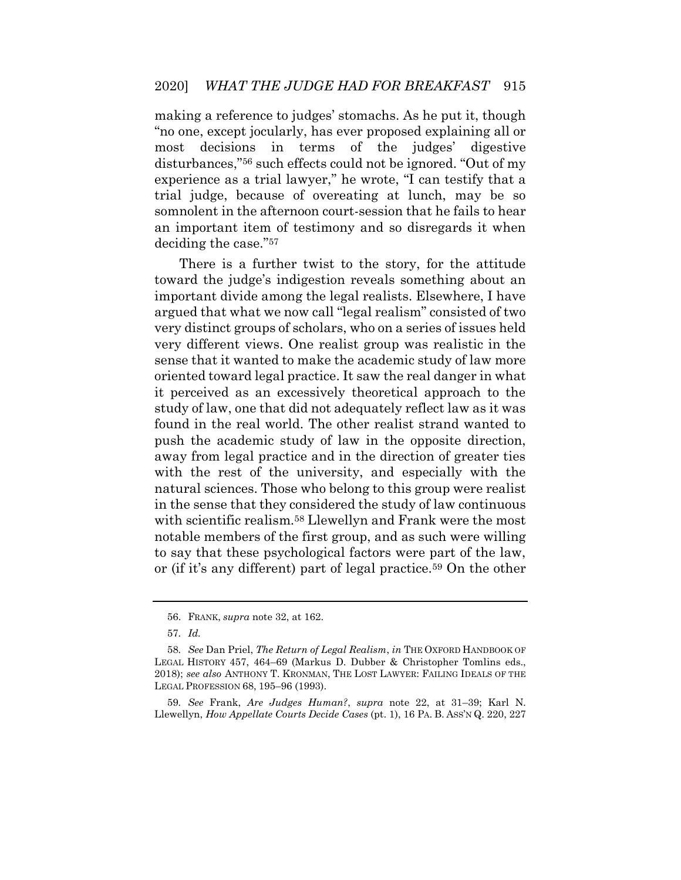making a reference to judges' stomachs. As he put it, though "no one, except jocularly, has ever proposed explaining all or most decisions in terms of the judges' digestive disturbances," <sup>56</sup> such effects could not be ignored. "Out of my experience as a trial lawyer," he wrote, "I can testify that a trial judge, because of overeating at lunch, may be so somnolent in the afternoon court-session that he fails to hear an important item of testimony and so disregards it when deciding the case." 57

There is a further twist to the story, for the attitude toward the judge's indigestion reveals something about an important divide among the legal realists. Elsewhere, I have argued that what we now call "legal realism" consisted of two very distinct groups of scholars, who on a series of issues held very different views. One realist group was realistic in the sense that it wanted to make the academic study of law more oriented toward legal practice. It saw the real danger in what it perceived as an excessively theoretical approach to the study of law, one that did not adequately reflect law as it was found in the real world. The other realist strand wanted to push the academic study of law in the opposite direction, away from legal practice and in the direction of greater ties with the rest of the university, and especially with the natural sciences. Those who belong to this group were realist in the sense that they considered the study of law continuous with scientific realism.<sup>58</sup> Llewellyn and Frank were the most notable members of the first group, and as such were willing to say that these psychological factors were part of the law, or (if it's any different) part of legal practice.<sup>59</sup> On the other

59*. See* Frank, *Are Judges Human?*, *supra* note 22, at 31–39; Karl N. Llewellyn, *How Appellate Courts Decide Cases* (pt. 1), 16 PA. B. ASS'N Q. 220, 227

<sup>56.</sup> FRANK, *supra* note 32, at 162.

<sup>57</sup>*. Id.*

<sup>58</sup>*. See* Dan Priel, *The Return of Legal Realism*, *in* THE OXFORD HANDBOOK OF LEGAL HISTORY 457, 464–69 (Markus D. Dubber & Christopher Tomlins eds., 2018); *see also* ANTHONY T. KRONMAN, THE LOST LAWYER: FAILING IDEALS OF THE LEGAL PROFESSION 68, 195–96 (1993).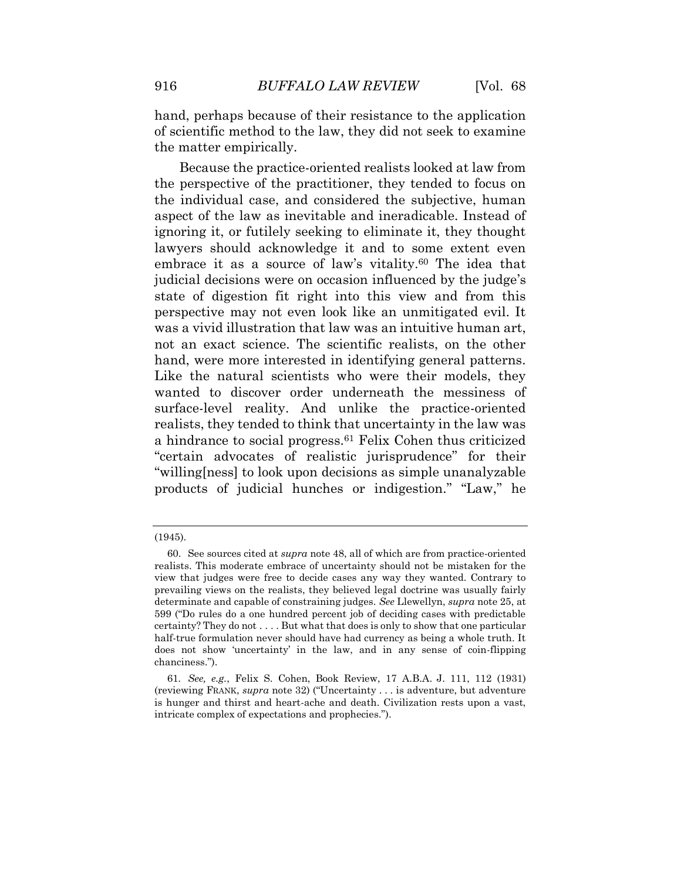hand, perhaps because of their resistance to the application of scientific method to the law, they did not seek to examine the matter empirically.

Because the practice-oriented realists looked at law from the perspective of the practitioner, they tended to focus on the individual case, and considered the subjective, human aspect of the law as inevitable and ineradicable. Instead of ignoring it, or futilely seeking to eliminate it, they thought lawyers should acknowledge it and to some extent even embrace it as a source of law's vitality.<sup>60</sup> The idea that judicial decisions were on occasion influenced by the judge's state of digestion fit right into this view and from this perspective may not even look like an unmitigated evil. It was a vivid illustration that law was an intuitive human art, not an exact science. The scientific realists, on the other hand, were more interested in identifying general patterns. Like the natural scientists who were their models, they wanted to discover order underneath the messiness of surface-level reality. And unlike the practice-oriented realists, they tended to think that uncertainty in the law was a hindrance to social progress.<sup>61</sup> Felix Cohen thus criticized "certain advocates of realistic jurisprudence" for their "willing[ness] to look upon decisions as simple unanalyzable products of judicial hunches or indigestion." "Law," he

<sup>(1945).</sup>

<sup>60.</sup> See sources cited at *supra* note 48, all of which are from practice-oriented realists. This moderate embrace of uncertainty should not be mistaken for the view that judges were free to decide cases any way they wanted. Contrary to prevailing views on the realists, they believed legal doctrine was usually fairly determinate and capable of constraining judges. *See* Llewellyn, *supra* note 25, at 599 ("Do rules do a one hundred percent job of deciding cases with predictable certainty? They do not . . . . But what that does is only to show that one particular half-true formulation never should have had currency as being a whole truth. It does not show 'uncertainty' in the law, and in any sense of coin-flipping chanciness.").

<sup>61</sup>*. See, e.g.*, Felix S. Cohen, Book Review, 17 A.B.A. J. 111, 112 (1931) (reviewing FRANK, *supra* note 32) ("Uncertainty . . . is adventure, but adventure is hunger and thirst and heart-ache and death. Civilization rests upon a vast, intricate complex of expectations and prophecies.").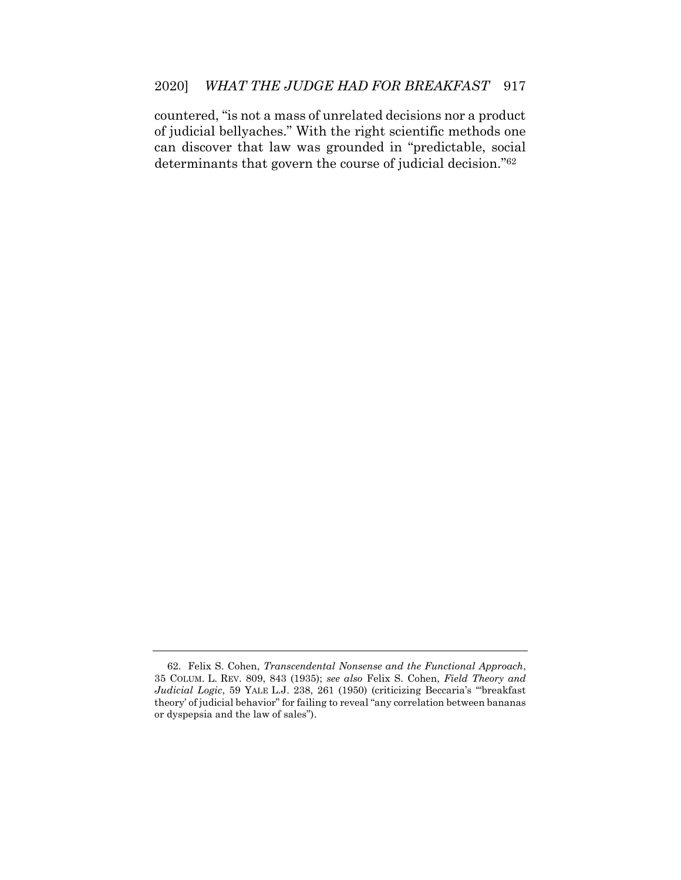countered, "is not a mass of unrelated decisions nor a product of judicial bellyaches." With the right scientific methods one can discover that law was grounded in "predictable, social determinants that govern the course of judicial decision." 62

<sup>62.</sup> Felix S. Cohen, *Transcendental Nonsense and the Functional Approach*, 35 COLUM. L. REV. 809, 843 (1935); *see also* Felix S. Cohen, *Field Theory and Judicial Logic*, 59 YALE L.J. 238, 261 (1950) (criticizing Beccaria's "'breakfast theory' of judicial behavior" for failing to reveal "any correlation between bananas or dyspepsia and the law of sales").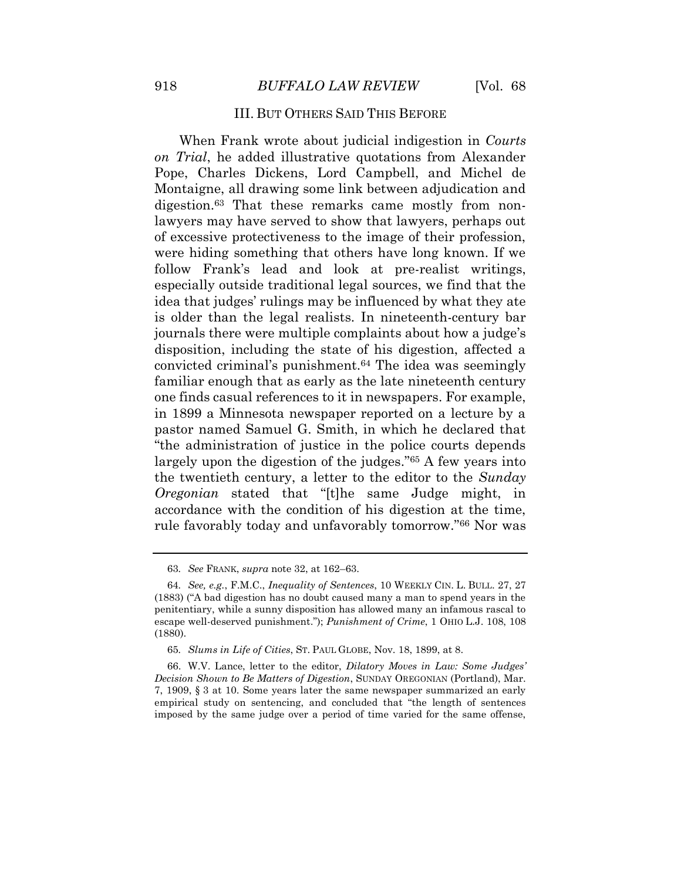#### III. BUT OTHERS SAID THIS BEFORE

<span id="page-20-0"></span>When Frank wrote about judicial indigestion in *Courts on Trial*, he added illustrative quotations from Alexander Pope, Charles Dickens, Lord Campbell, and Michel de Montaigne, all drawing some link between adjudication and digestion.<sup>63</sup> That these remarks came mostly from nonlawyers may have served to show that lawyers, perhaps out of excessive protectiveness to the image of their profession, were hiding something that others have long known. If we follow Frank's lead and look at pre-realist writings, especially outside traditional legal sources, we find that the idea that judges' rulings may be influenced by what they ate is older than the legal realists. In nineteenth-century bar journals there were multiple complaints about how a judge's disposition, including the state of his digestion, affected a convicted criminal's punishment.<sup>64</sup> The idea was seemingly familiar enough that as early as the late nineteenth century one finds casual references to it in newspapers. For example, in 1899 a Minnesota newspaper reported on a lecture by a pastor named Samuel G. Smith, in which he declared that "the administration of justice in the police courts depends largely upon the digestion of the judges." <sup>65</sup> A few years into the twentieth century, a letter to the editor to the *Sunday Oregonian* stated that "[t]he same Judge might, in accordance with the condition of his digestion at the time, rule favorably today and unfavorably tomorrow." <sup>66</sup> Nor was

<sup>63</sup>*. See* FRANK, *supra* note 32, at 162–63.

<sup>64</sup>*. See, e.g.*, F.M.C., *Inequality of Sentences*, 10 WEEKLY CIN. L. BULL. 27, 27 (1883) ("A bad digestion has no doubt caused many a man to spend years in the penitentiary, while a sunny disposition has allowed many an infamous rascal to escape well-deserved punishment."); *Punishment of Crime*, 1 OHIO L.J. 108, 108 (1880).

<sup>65</sup>*. Slums in Life of Cities*, ST. PAUL GLOBE, Nov. 18, 1899, at 8.

<sup>66.</sup> W.V. Lance, letter to the editor, *Dilatory Moves in Law: Some Judges' Decision Shown to Be Matters of Digestion*, SUNDAY OREGONIAN (Portland), Mar. 7, 1909, § 3 at 10. Some years later the same newspaper summarized an early empirical study on sentencing, and concluded that "the length of sentences imposed by the same judge over a period of time varied for the same offense,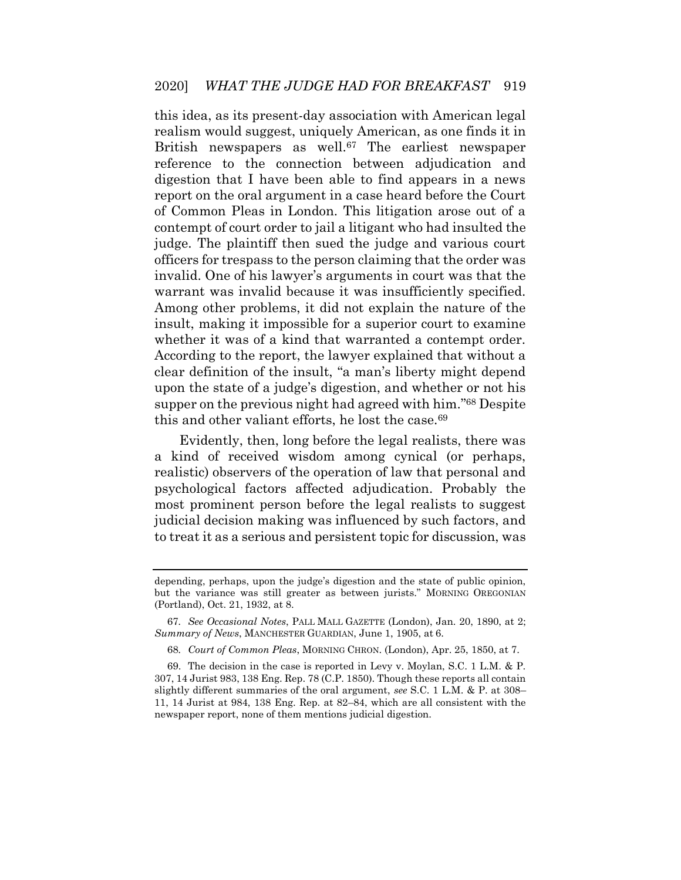this idea, as its present-day association with American legal realism would suggest, uniquely American, as one finds it in British newspapers as well.<sup>67</sup> The earliest newspaper reference to the connection between adjudication and digestion that I have been able to find appears in a news report on the oral argument in a case heard before the Court of Common Pleas in London. This litigation arose out of a contempt of court order to jail a litigant who had insulted the judge. The plaintiff then sued the judge and various court officers for trespass to the person claiming that the order was invalid. One of his lawyer's arguments in court was that the warrant was invalid because it was insufficiently specified. Among other problems, it did not explain the nature of the insult, making it impossible for a superior court to examine whether it was of a kind that warranted a contempt order. According to the report, the lawyer explained that without a clear definition of the insult, "a man's liberty might depend upon the state of a judge's digestion, and whether or not his supper on the previous night had agreed with him." <sup>68</sup> Despite this and other valiant efforts, he lost the case.<sup>69</sup>

Evidently, then, long before the legal realists, there was a kind of received wisdom among cynical (or perhaps, realistic) observers of the operation of law that personal and psychological factors affected adjudication. Probably the most prominent person before the legal realists to suggest judicial decision making was influenced by such factors, and to treat it as a serious and persistent topic for discussion, was

68*. Court of Common Pleas*, MORNING CHRON. (London), Apr. 25, 1850, at 7.

depending, perhaps, upon the judge's digestion and the state of public opinion, but the variance was still greater as between jurists." MORNING OREGONIAN (Portland), Oct. 21, 1932, at 8.

<sup>67</sup>*. See Occasional Notes*, PALL MALL GAZETTE (London), Jan. 20, 1890, at 2; *Summary of News*, MANCHESTER GUARDIAN, June 1, 1905, at 6.

<sup>69.</sup> The decision in the case is reported in Levy v. Moylan, S.C. 1 L.M. & P. 307, 14 Jurist 983, 138 Eng. Rep. 78 (C.P. 1850). Though these reports all contain slightly different summaries of the oral argument, *see* S.C. 1 L.M. & P. at 308– 11, 14 Jurist at 984, 138 Eng. Rep. at 82–84, which are all consistent with the newspaper report, none of them mentions judicial digestion.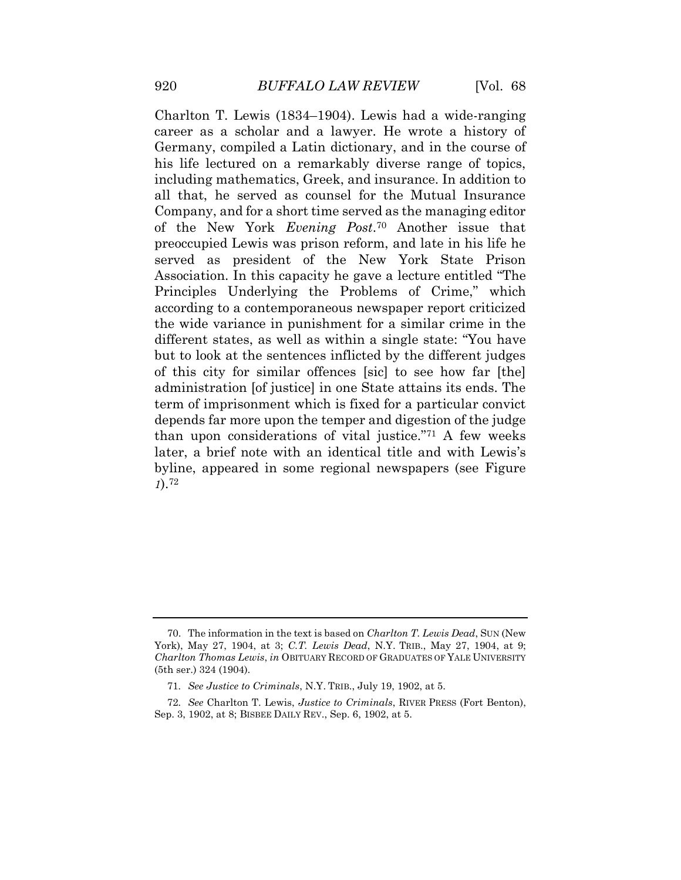Charlton T. Lewis (1834–1904). Lewis had a wide-ranging career as a scholar and a lawyer. He wrote a history of Germany, compiled a Latin dictionary, and in the course of his life lectured on a remarkably diverse range of topics, including mathematics, Greek, and insurance. In addition to all that, he served as counsel for the Mutual Insurance Company, and for a short time served as the managing editor of the New York *Evening Post*. <sup>70</sup> Another issue that preoccupied Lewis was prison reform, and late in his life he served as president of the New York State Prison Association. In this capacity he gave a lecture entitled "The Principles Underlying the Problems of Crime," which according to a contemporaneous newspaper report criticized the wide variance in punishment for a similar crime in the different states, as well as within a single state: "You have but to look at the sentences inflicted by the different judges of this city for similar offences [sic] to see how far [the] administration [of justice] in one State attains its ends. The term of imprisonment which is fixed for a particular convict depends far more upon the temper and digestion of the judge than upon considerations of vital justice." <sup>71</sup> A few weeks later, a brief note with an identical title and with Lewis's byline, appeared in some regional newspapers (see [Figure](#page-23-0) *[1](#page-23-0)*).<sup>72</sup>

<sup>70.</sup> The information in the text is based on *Charlton T. Lewis Dead*, SUN (New York), May 27, 1904, at 3; *C.T. Lewis Dead*, N.Y. TRIB., May 27, 1904, at 9; *Charlton Thomas Lewis*, *in* OBITUARY RECORD OF GRADUATES OF YALE UNIVERSITY (5th ser.) 324 (1904).

<sup>71</sup>*. See Justice to Criminals*, N.Y. TRIB., July 19, 1902, at 5.

<sup>72</sup>*. See* Charlton T. Lewis, *Justice to Criminals*, RIVER PRESS (Fort Benton), Sep. 3, 1902, at 8; BISBEE DAILY REV., Sep. 6, 1902, at 5.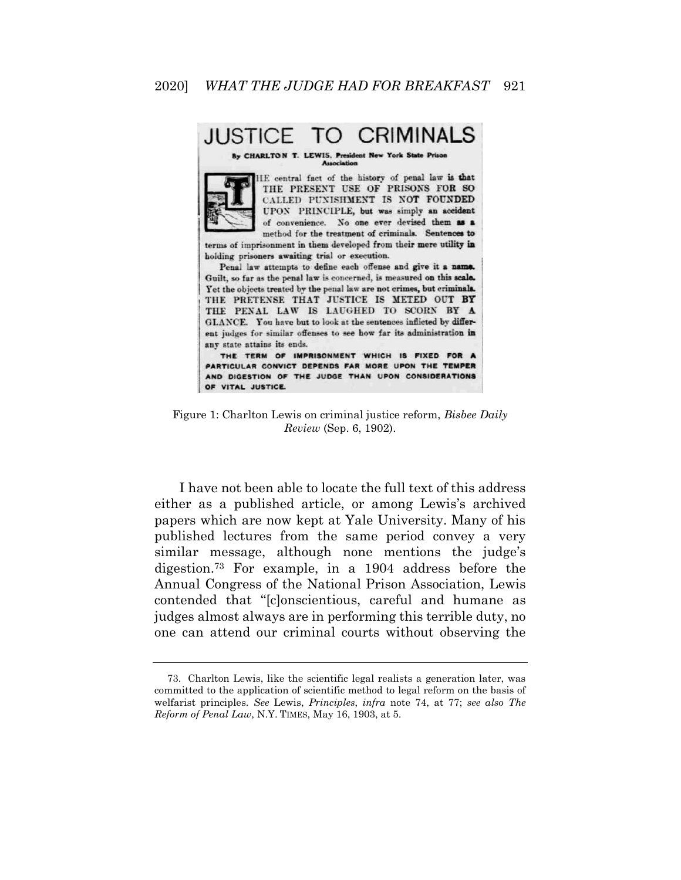#### **CRIMINALS JUSTICE**

**CHARLTON** 



HE central fact of the history of penal law is that THE PRESENT USE OF PRISONS FOR SO CALLED PUNISHMENT IS NOT FOUNDED UPON PRINCIPLE, but was simply an accident of convenience. No one ever devised them as a method for the treatment of criminals. Sentences to

terms of imprisonment in them developed from their mere utility in holding prisoners awaiting trial or execution.

Penal law attempts to define each offense and give it a name. Guilt, so far as the penal law is concerned, is measured on this scale. Yet the objects treated by the penal law are not crimes, but criminals. THE PRETENSE THAT JUSTICE IS METED OUT BY THE PENAL LAW IS LAUGHED TO SCORN BY A GLANCE. You have but to look at the sentences inflicted by different judges for similar offenses to see how far its administration in any state attains its ends.

THE TERM OF IMPRISONMENT WHICH IS FIXED FOR A PARTICULAR CONVICT DEPENDS FAR MORE UPON THE TEMPER AND DIGESTION OF THE JUDGE THAN UPON CONSIDERATIONS OF VITAL JUSTICE.

<span id="page-23-0"></span>Figure 1: Charlton Lewis on criminal justice reform, *Bisbee Daily Review* (Sep. 6, 1902).

I have not been able to locate the full text of this address either as a published article, or among Lewis's archived papers which are now kept at Yale University. Many of his published lectures from the same period convey a very similar message, although none mentions the judge's digestion.<sup>73</sup> For example, in a 1904 address before the Annual Congress of the National Prison Association, Lewis contended that "[c]onscientious, careful and humane as judges almost always are in performing this terrible duty, no one can attend our criminal courts without observing the

<sup>73.</sup> Charlton Lewis, like the scientific legal realists a generation later, was committed to the application of scientific method to legal reform on the basis of welfarist principles. *See* Lewis, *Principles*, *infra* note 74, at 77; *see also The Reform of Penal Law*, N.Y. TIMES, May 16, 1903, at 5.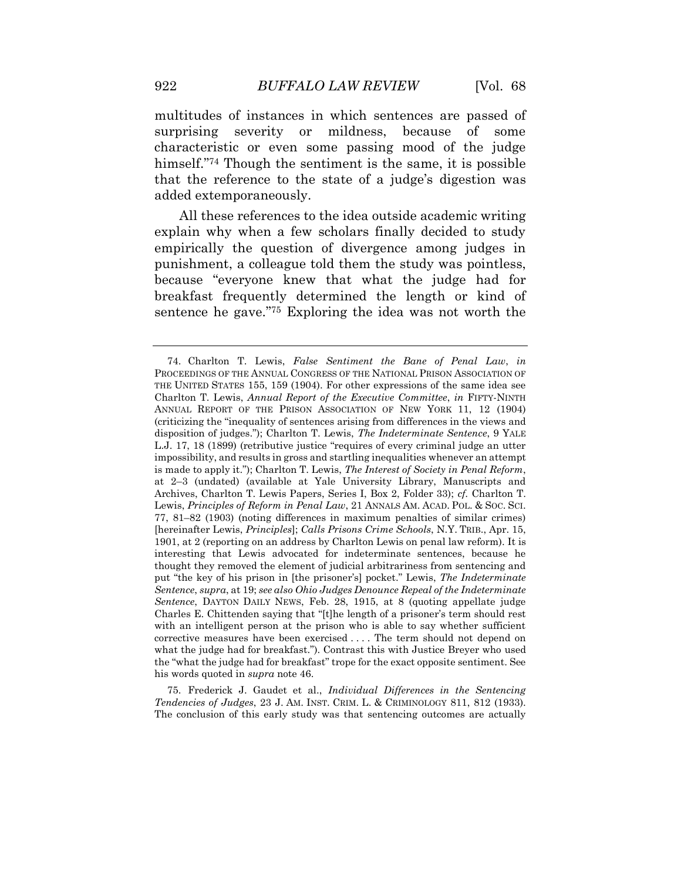multitudes of instances in which sentences are passed of surprising severity or mildness, because of some characteristic or even some passing mood of the judge himself."<sup>74</sup> Though the sentiment is the same, it is possible that the reference to the state of a judge's digestion was added extemporaneously.

All these references to the idea outside academic writing explain why when a few scholars finally decided to study empirically the question of divergence among judges in punishment, a colleague told them the study was pointless, because "everyone knew that what the judge had for breakfast frequently determined the length or kind of sentence he gave." <sup>75</sup> Exploring the idea was not worth the

75. Frederick J. Gaudet et al., *Individual Differences in the Sentencing Tendencies of Judges*, 23 J. AM. INST. CRIM. L. & CRIMINOLOGY 811, 812 (1933). The conclusion of this early study was that sentencing outcomes are actually

<sup>74.</sup> Charlton T. Lewis, *False Sentiment the Bane of Penal Law*, *in* PROCEEDINGS OF THE ANNUAL CONGRESS OF THE NATIONAL PRISON ASSOCIATION OF THE UNITED STATES 155, 159 (1904). For other expressions of the same idea see Charlton T. Lewis, *Annual Report of the Executive Committee*, *in* FIFTY-NINTH ANNUAL REPORT OF THE PRISON ASSOCIATION OF NEW YORK 11, 12 (1904) (criticizing the "inequality of sentences arising from differences in the views and disposition of judges."); Charlton T. Lewis, *The Indeterminate Sentence*, 9 YALE L.J. 17, 18 (1899) (retributive justice "requires of every criminal judge an utter impossibility, and results in gross and startling inequalities whenever an attempt is made to apply it."); Charlton T. Lewis, *The Interest of Society in Penal Reform*, at 2–3 (undated) (available at Yale University Library, Manuscripts and Archives, Charlton T. Lewis Papers, Series I, Box 2, Folder 33); *cf.* Charlton T. Lewis, *Principles of Reform in Penal Law*, 21 ANNALS AM. ACAD. POL. & SOC. SCI. 77, 81–82 (1903) (noting differences in maximum penalties of similar crimes) [hereinafter Lewis, *Principles*]; *Calls Prisons Crime Schools*, N.Y. TRIB., Apr. 15, 1901, at 2 (reporting on an address by Charlton Lewis on penal law reform). It is interesting that Lewis advocated for indeterminate sentences, because he thought they removed the element of judicial arbitrariness from sentencing and put "the key of his prison in [the prisoner's] pocket." Lewis, *The Indeterminate Sentence*, *supra*, at 19; *see also Ohio Judges Denounce Repeal of the Indeterminate Sentence*, DAYTON DAILY NEWS, Feb. 28, 1915, at 8 (quoting appellate judge Charles E. Chittenden saying that "[t]he length of a prisoner's term should rest with an intelligent person at the prison who is able to say whether sufficient corrective measures have been exercised . . . . The term should not depend on what the judge had for breakfast."). Contrast this with Justice Breyer who used the "what the judge had for breakfast" trope for the exact opposite sentiment. See his words quoted in *supra* note 46.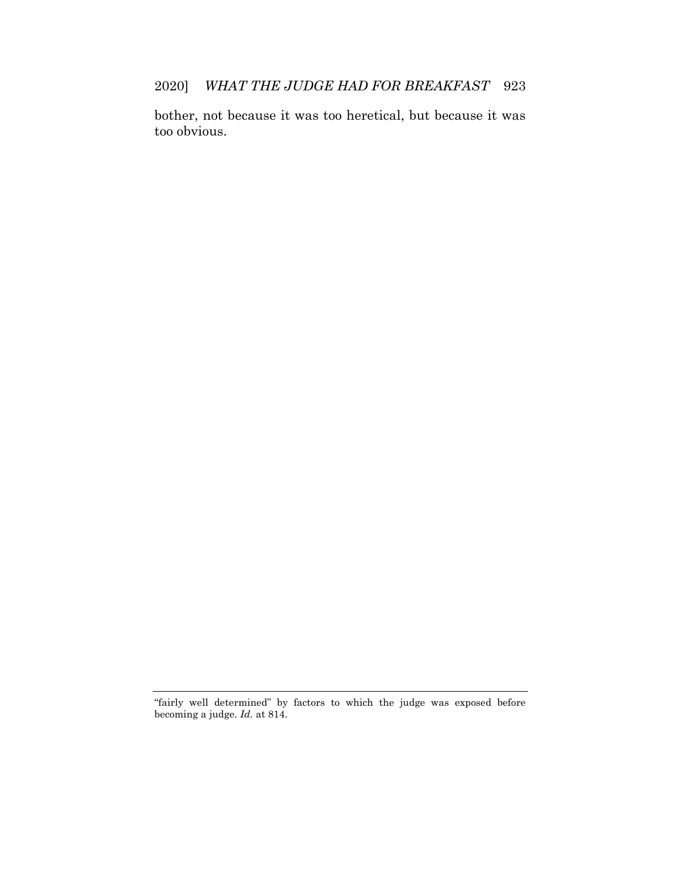2020] *WHAT THE JUDGE HAD FOR BREAKFAST* 923

bother, not because it was too heretical, but because it was too obvious.

<sup>&</sup>quot;fairly well determined" by factors to which the judge was exposed before becoming a judge. *Id.* at 814.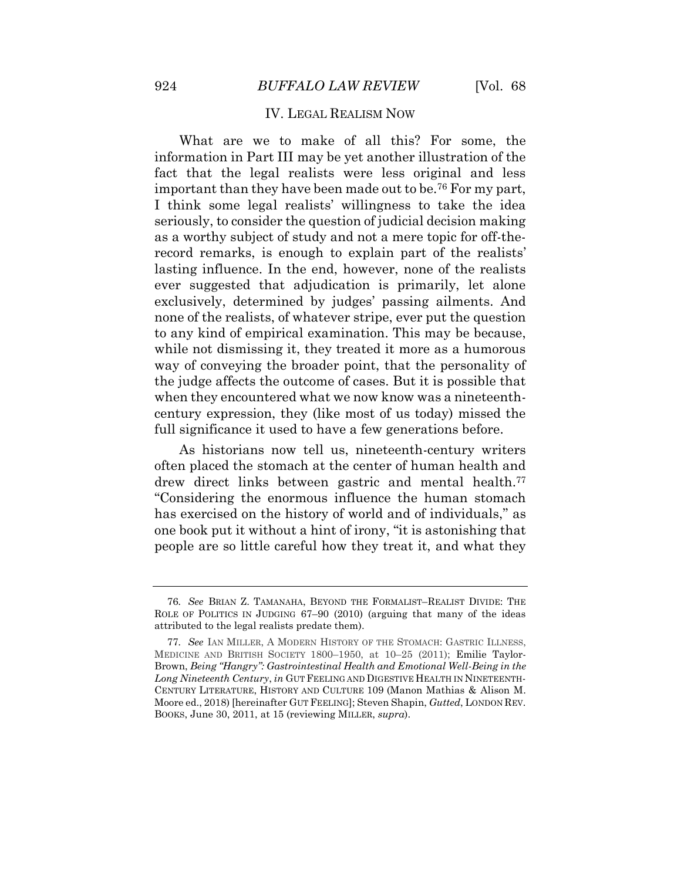#### IV. LEGAL REALISM NOW

<span id="page-26-0"></span>What are we to make of all this? For some, the information in Part III may be yet another illustration of the fact that the legal realists were less original and less important than they have been made out to be.<sup>76</sup> For my part, I think some legal realists' willingness to take the idea seriously, to consider the question of judicial decision making as a worthy subject of study and not a mere topic for off-therecord remarks, is enough to explain part of the realists' lasting influence. In the end, however, none of the realists ever suggested that adjudication is primarily, let alone exclusively, determined by judges' passing ailments. And none of the realists, of whatever stripe, ever put the question to any kind of empirical examination. This may be because, while not dismissing it, they treated it more as a humorous way of conveying the broader point, that the personality of the judge affects the outcome of cases. But it is possible that when they encountered what we now know was a nineteenthcentury expression, they (like most of us today) missed the full significance it used to have a few generations before.

As historians now tell us, nineteenth-century writers often placed the stomach at the center of human health and drew direct links between gastric and mental health.<sup>77</sup> "Considering the enormous influence the human stomach has exercised on the history of world and of individuals," as one book put it without a hint of irony, "it is astonishing that people are so little careful how they treat it, and what they

<sup>76</sup>*. See* BRIAN Z. TAMANAHA, BEYOND THE FORMALIST–REALIST DIVIDE: THE ROLE OF POLITICS IN JUDGING 67–90 (2010) (arguing that many of the ideas attributed to the legal realists predate them).

<sup>77</sup>*. See* IAN MILLER, A MODERN HISTORY OF THE STOMACH: GASTRIC ILLNESS, MEDICINE AND BRITISH SOCIETY 1800–1950, at 10–25 (2011); Emilie Taylor-Brown, *Being "Hangry": Gastrointestinal Health and Emotional Well-Being in the Long Nineteenth Century*, *in* GUT FEELING AND DIGESTIVE HEALTH IN NINETEENTH-CENTURY LITERATURE, HISTORY AND CULTURE 109 (Manon Mathias & Alison M. Moore ed., 2018) [hereinafter GUT FEELING]; Steven Shapin, *Gutted*, LONDON REV. BOOKS, June 30, 2011, at 15 (reviewing MILLER, *supra*).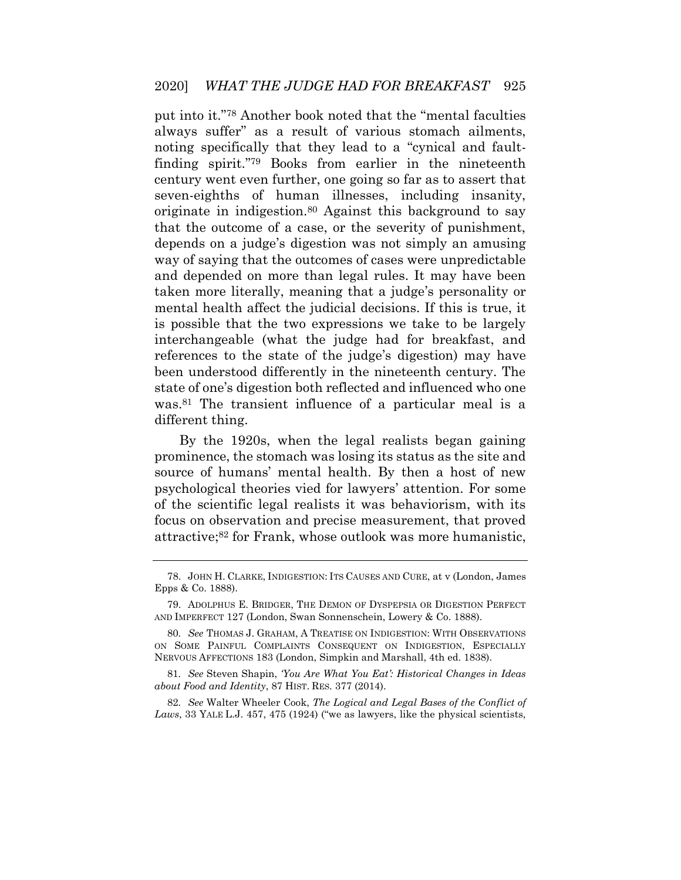put into it." <sup>78</sup> Another book noted that the "mental faculties always suffer" as a result of various stomach ailments, noting specifically that they lead to a "cynical and faultfinding spirit." <sup>79</sup> Books from earlier in the nineteenth century went even further, one going so far as to assert that seven-eighths of human illnesses, including insanity, originate in indigestion.<sup>80</sup> Against this background to say that the outcome of a case, or the severity of punishment, depends on a judge's digestion was not simply an amusing way of saying that the outcomes of cases were unpredictable and depended on more than legal rules. It may have been taken more literally, meaning that a judge's personality or mental health affect the judicial decisions. If this is true, it is possible that the two expressions we take to be largely interchangeable (what the judge had for breakfast, and references to the state of the judge's digestion) may have been understood differently in the nineteenth century. The state of one's digestion both reflected and influenced who one was.<sup>81</sup> The transient influence of a particular meal is a different thing.

By the 1920s, when the legal realists began gaining prominence, the stomach was losing its status as the site and source of humans' mental health. By then a host of new psychological theories vied for lawyers' attention. For some of the scientific legal realists it was behaviorism, with its focus on observation and precise measurement, that proved attractive;<sup>82</sup> for Frank, whose outlook was more humanistic,

<sup>78.</sup> JOHN H. CLARKE, INDIGESTION: ITS CAUSES AND CURE, at v (London, James Epps & Co. 1888).

<sup>79.</sup> ADOLPHUS E. BRIDGER, THE DEMON OF DYSPEPSIA OR DIGESTION PERFECT AND IMPERFECT 127 (London, Swan Sonnenschein, Lowery & Co. 1888).

<sup>80</sup>*. See* THOMAS J. GRAHAM, A TREATISE ON INDIGESTION: WITH OBSERVATIONS ON SOME PAINFUL COMPLAINTS CONSEQUENT ON INDIGESTION, ESPECIALLY NERVOUS AFFECTIONS 183 (London, Simpkin and Marshall, 4th ed. 1838).

<sup>81</sup>*. See* Steven Shapin, *'You Are What You Eat': Historical Changes in Ideas about Food and Identity*, 87 HIST. RES. 377 (2014).

<sup>82</sup>*. See* Walter Wheeler Cook, *The Logical and Legal Bases of the Conflict of Laws*, 33 YALE L.J. 457, 475 (1924) ("we as lawyers, like the physical scientists,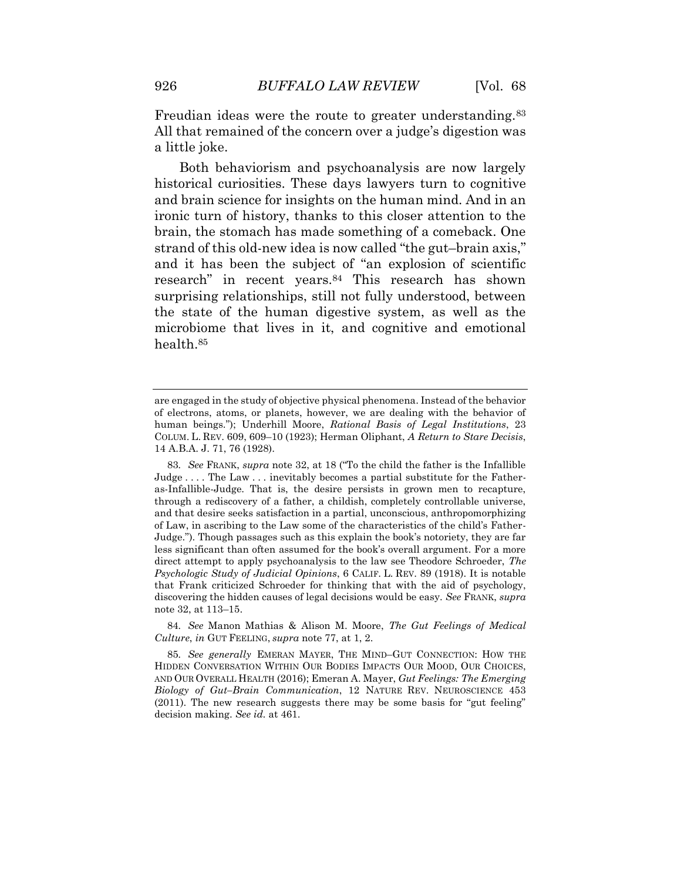Freudian ideas were the route to greater understanding.<sup>83</sup> All that remained of the concern over a judge's digestion was a little joke.

Both behaviorism and psychoanalysis are now largely historical curiosities. These days lawyers turn to cognitive and brain science for insights on the human mind. And in an ironic turn of history, thanks to this closer attention to the brain, the stomach has made something of a comeback. One strand of this old-new idea is now called "the gut–brain axis," and it has been the subject of "an explosion of scientific research" in recent years.<sup>84</sup> This research has shown surprising relationships, still not fully understood, between the state of the human digestive system, as well as the microbiome that lives in it, and cognitive and emotional health.<sup>85</sup>

84*. See* Manon Mathias & Alison M. Moore, *The Gut Feelings of Medical Culture*, *in* GUT FEELING, *supra* note 77, at 1, 2.

are engaged in the study of objective physical phenomena. Instead of the behavior of electrons, atoms, or planets, however, we are dealing with the behavior of human beings."); Underhill Moore, *Rational Basis of Legal Institutions*, 23 COLUM. L. REV. 609, 609–10 (1923); Herman Oliphant, *A Return to Stare Decisis*, 14 A.B.A. J. 71, 76 (1928).

<sup>83</sup>*. See* FRANK, *supra* note 32, at 18 ("To the child the father is the Infallible Judge . . . . The Law . . . inevitably becomes a partial substitute for the Fatheras-Infallible-Judge. That is, the desire persists in grown men to recapture, through a rediscovery of a father, a childish, completely controllable universe, and that desire seeks satisfaction in a partial, unconscious, anthropomorphizing of Law, in ascribing to the Law some of the characteristics of the child's Father-Judge."). Though passages such as this explain the book's notoriety, they are far less significant than often assumed for the book's overall argument. For a more direct attempt to apply psychoanalysis to the law see Theodore Schroeder, *The Psychologic Study of Judicial Opinions*, 6 CALIF. L. REV. 89 (1918). It is notable that Frank criticized Schroeder for thinking that with the aid of psychology, discovering the hidden causes of legal decisions would be easy. *See* FRANK, *supra* note 32, at 113–15.

<sup>85</sup>*. See generally* EMERAN MAYER, THE MIND–GUT CONNECTION: HOW THE HIDDEN CONVERSATION WITHIN OUR BODIES IMPACTS OUR MOOD, OUR CHOICES, AND OUR OVERALL HEALTH (2016); Emeran A. Mayer, *Gut Feelings: The Emerging Biology of Gut–Brain Communication*, 12 NATURE REV. NEUROSCIENCE 453 (2011). The new research suggests there may be some basis for "gut feeling" decision making. *See id.* at 461.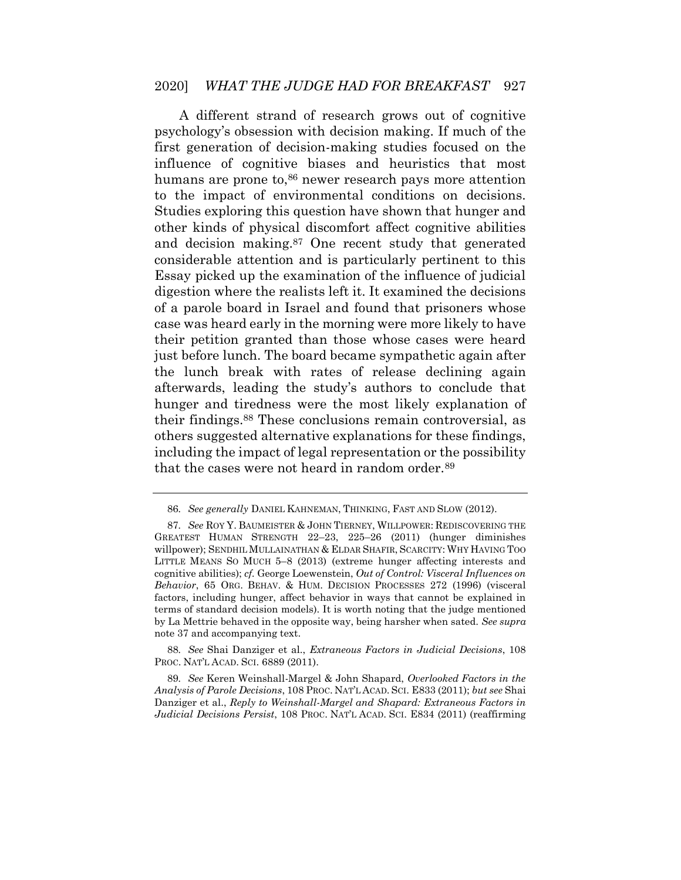A different strand of research grows out of cognitive psychology's obsession with decision making. If much of the first generation of decision-making studies focused on the influence of cognitive biases and heuristics that most humans are prone to,<sup>86</sup> newer research pays more attention to the impact of environmental conditions on decisions. Studies exploring this question have shown that hunger and other kinds of physical discomfort affect cognitive abilities and decision making.<sup>87</sup> One recent study that generated considerable attention and is particularly pertinent to this Essay picked up the examination of the influence of judicial digestion where the realists left it. It examined the decisions of a parole board in Israel and found that prisoners whose case was heard early in the morning were more likely to have their petition granted than those whose cases were heard just before lunch. The board became sympathetic again after the lunch break with rates of release declining again afterwards, leading the study's authors to conclude that hunger and tiredness were the most likely explanation of their findings.<sup>88</sup> These conclusions remain controversial, as others suggested alternative explanations for these findings, including the impact of legal representation or the possibility that the cases were not heard in random order.<sup>89</sup>

88*. See* Shai Danziger et al., *Extraneous Factors in Judicial Decisions*, 108 PROC. NAT'L ACAD. SCI. 6889 (2011).

<sup>86</sup>*. See generally* DANIEL KAHNEMAN, THINKING, FAST AND SLOW (2012).

<sup>87</sup>*. See* ROY Y. BAUMEISTER & JOHN TIERNEY, WILLPOWER: REDISCOVERING THE GREATEST HUMAN STRENGTH 22–23, 225–26 (2011) (hunger diminishes willpower); SENDHIL MULLAINATHAN & ELDAR SHAFIR, SCARCITY: WHY HAVING TOO LITTLE MEANS SO MUCH 5–8 (2013) (extreme hunger affecting interests and cognitive abilities); *cf.* George Loewenstein, *Out of Control: Visceral Influences on Behavior*, 65 ORG. BEHAV. & HUM. DECISION PROCESSES 272 (1996) (visceral factors, including hunger, affect behavior in ways that cannot be explained in terms of standard decision models). It is worth noting that the judge mentioned by La Mettrie behaved in the opposite way, being harsher when sated. *See supra* note 37 and accompanying text.

<sup>89</sup>*. See* Keren Weinshall-Margel & John Shapard, *Overlooked Factors in the Analysis of Parole Decisions*, 108 PROC. NAT'L ACAD. SCI. E833 (2011); *but see* Shai Danziger et al., *Reply to Weinshall-Margel and Shapard: Extraneous Factors in Judicial Decisions Persist*, 108 PROC. NAT'L ACAD. SCI. E834 (2011) (reaffirming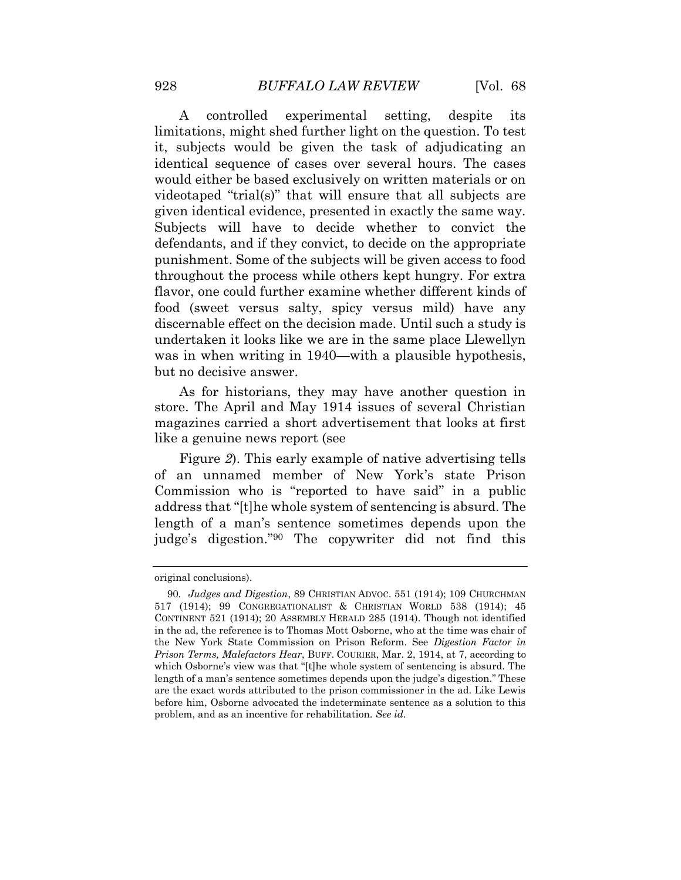A controlled experimental setting, despite its limitations, might shed further light on the question. To test it, subjects would be given the task of adjudicating an identical sequence of cases over several hours. The cases would either be based exclusively on written materials or on videotaped "trial(s)" that will ensure that all subjects are given identical evidence, presented in exactly the same way. Subjects will have to decide whether to convict the defendants, and if they convict, to decide on the appropriate punishment. Some of the subjects will be given access to food throughout the process while others kept hungry. For extra flavor, one could further examine whether different kinds of food (sweet versus salty, spicy versus mild) have any discernable effect on the decision made. Until such a study is undertaken it looks like we are in the same place Llewellyn was in when writing in 1940—with a plausible hypothesis, but no decisive answer.

As for historians, they may have another question in store. The April and May 1914 issues of several Christian magazines carried a short advertisement that looks at first like a genuine news report (see

[Figure](#page-32-0) *2*). This early example of native advertising tells of an unnamed member of New York's state Prison Commission who is "reported to have said" in a public address that "[t]he whole system of sentencing is absurd. The length of a man's sentence sometimes depends upon the judge's digestion." <sup>90</sup> The copywriter did not find this

original conclusions).

<sup>90</sup>*. Judges and Digestion*, 89 CHRISTIAN ADVOC. 551 (1914); 109 CHURCHMAN 517 (1914); 99 CONGREGATIONALIST & CHRISTIAN WORLD 538 (1914); 45 CONTINENT 521 (1914); 20 ASSEMBLY HERALD 285 (1914). Though not identified in the ad, the reference is to Thomas Mott Osborne, who at the time was chair of the New York State Commission on Prison Reform. See *Digestion Factor in Prison Terms, Malefactors Hear*, BUFF. COURIER, Mar. 2, 1914, at 7, according to which Osborne's view was that "[t]he whole system of sentencing is absurd. The length of a man's sentence sometimes depends upon the judge's digestion." These are the exact words attributed to the prison commissioner in the ad. Like Lewis before him, Osborne advocated the indeterminate sentence as a solution to this problem, and as an incentive for rehabilitation. *See id.*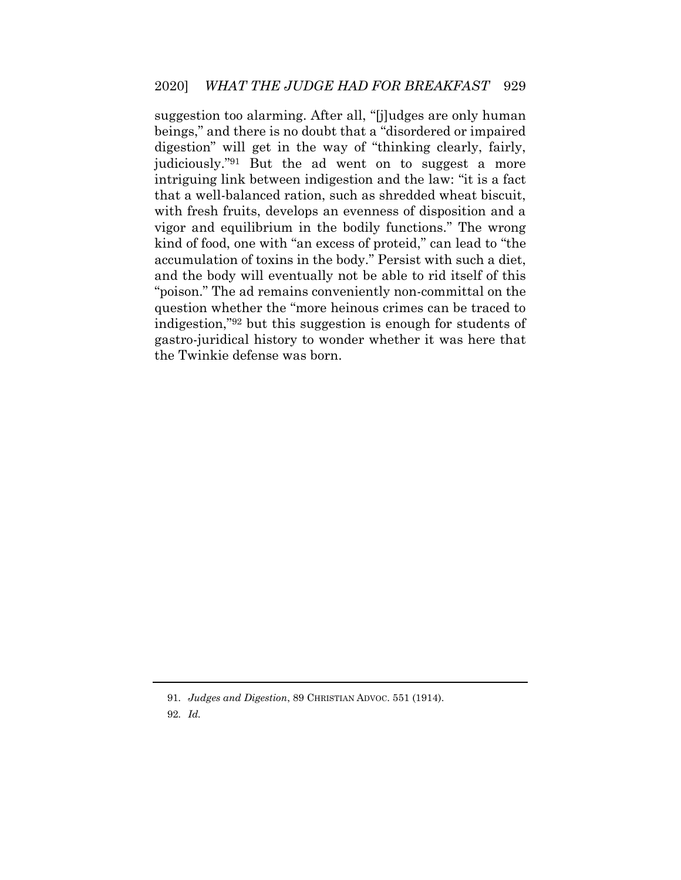suggestion too alarming. After all, "[j]udges are only human beings," and there is no doubt that a "disordered or impaired digestion" will get in the way of "thinking clearly, fairly, judiciously." <sup>91</sup> But the ad went on to suggest a more intriguing link between indigestion and the law: "it is a fact that a well-balanced ration, such as shredded wheat biscuit, with fresh fruits, develops an evenness of disposition and a vigor and equilibrium in the bodily functions." The wrong kind of food, one with "an excess of proteid," can lead to "the accumulation of toxins in the body." Persist with such a diet, and the body will eventually not be able to rid itself of this "poison." The ad remains conveniently non-committal on the question whether the "more heinous crimes can be traced to indigestion," <sup>92</sup> but this suggestion is enough for students of gastro-juridical history to wonder whether it was here that the Twinkie defense was born.

<sup>91</sup>*. Judges and Digestion*, 89 CHRISTIAN ADVOC. 551 (1914).

<sup>92</sup>*. Id.*